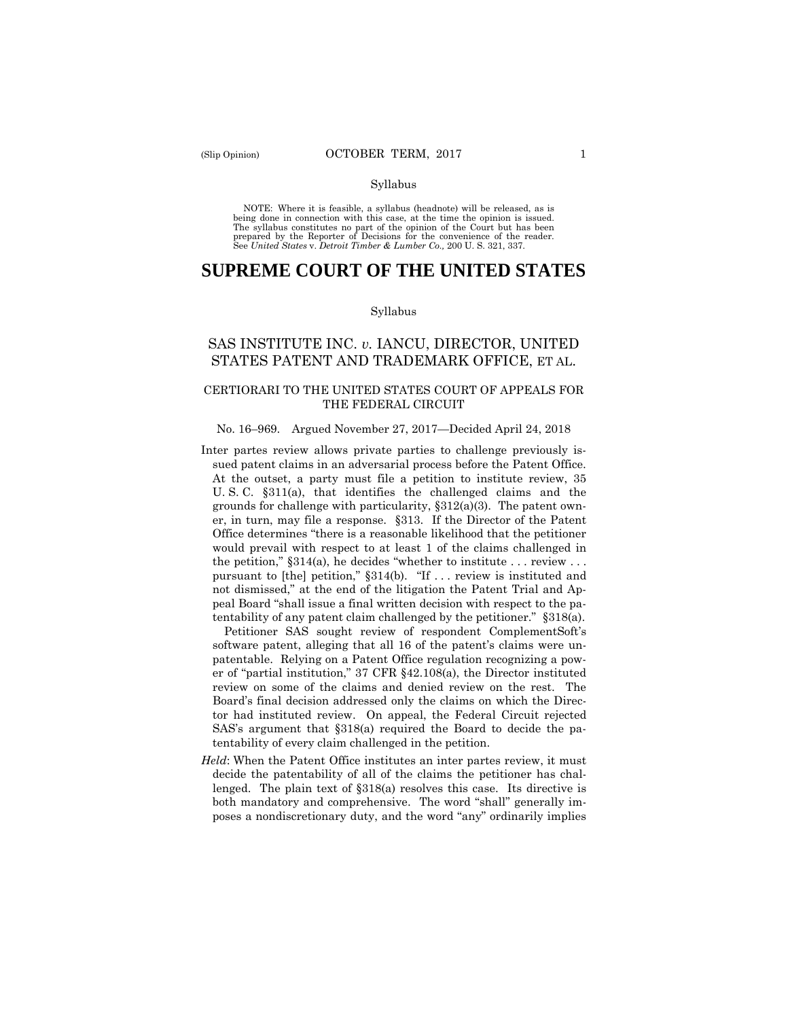#### Syllabus

 NOTE: Where it is feasible, a syllabus (headnote) will be released, as is being done in connection with this case, at the time the opinion is issued. The syllabus constitutes no part of the opinion of the Court but has been<br>prepared by the Reporter of Decisions for the convenience of the reader.<br>See United States v. Detroit Timber & Lumber Co., 200 U. S. 321, 337.

# **SUPREME COURT OF THE UNITED STATES**

#### Syllabus

## SAS INSTITUTE INC. *v.* IANCU, DIRECTOR, UNITED STATES PATENT AND TRADEMARK OFFICE, ET AL.

## CERTIORARI TO THE UNITED STATES COURT OF APPEALS FOR THE FEDERAL CIRCUIT

#### No. 16–969. Argued November 27, 2017—Decided April 24, 2018

 sued patent claims in an adversarial process before the Patent Office. Inter partes review allows private parties to challenge previously is-At the outset, a party must file a petition to institute review, 35 U. S. C. §311(a), that identifies the challenged claims and the grounds for challenge with particularity,  $\S 312(a)(3)$ . The patent owner, in turn, may file a response. §313. If the Director of the Patent Office determines "there is a reasonable likelihood that the petitioner would prevail with respect to at least 1 of the claims challenged in the petition,"  $§314(a)$ , he decides "whether to institute ... review ... pursuant to [the] petition," §314(b). "If . . . review is instituted and not dismissed," at the end of the litigation the Patent Trial and Appeal Board "shall issue a final written decision with respect to the patentability of any patent claim challenged by the petitioner." §318(a).

Petitioner SAS sought review of respondent ComplementSoft's software patent, alleging that all 16 of the patent's claims were unpatentable. Relying on a Patent Office regulation recognizing a power of "partial institution," 37 CFR §42.108(a), the Director instituted review on some of the claims and denied review on the rest. The Board's final decision addressed only the claims on which the Director had instituted review. On appeal, the Federal Circuit rejected SAS's argument that §318(a) required the Board to decide the patentability of every claim challenged in the petition.

*Held*: When the Patent Office institutes an inter partes review, it must decide the patentability of all of the claims the petitioner has challenged. The plain text of §318(a) resolves this case. Its directive is both mandatory and comprehensive. The word "shall" generally imposes a nondiscretionary duty, and the word "any" ordinarily implies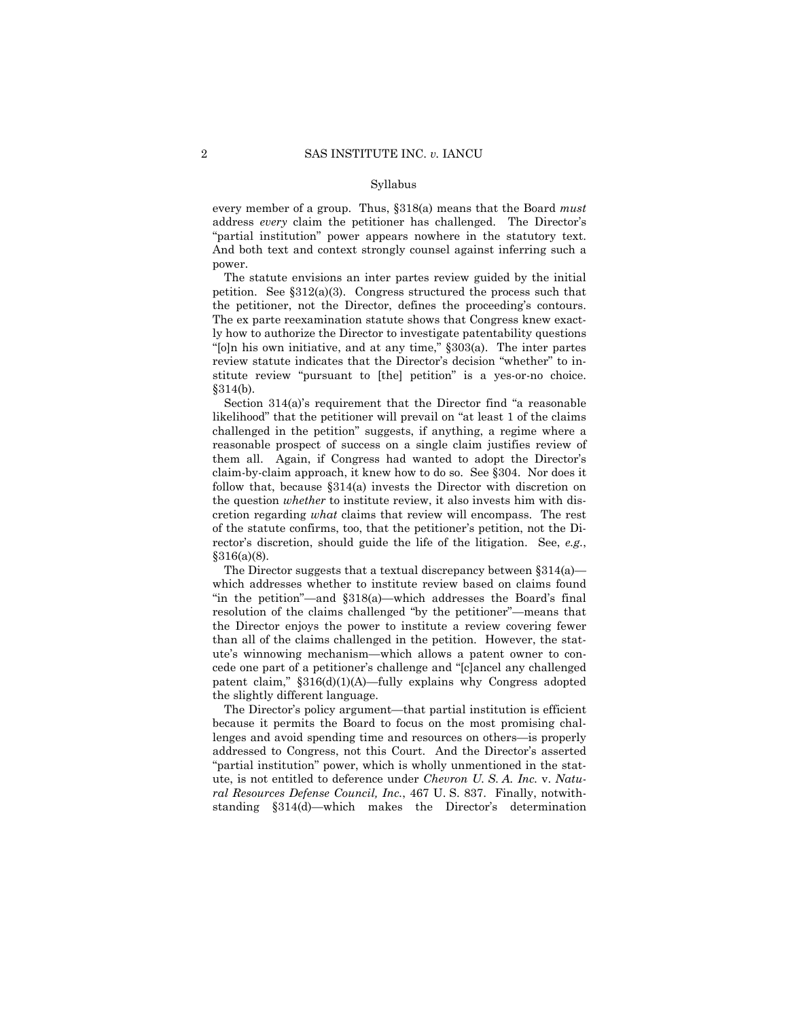#### Syllabus

every member of a group. Thus, §318(a) means that the Board *must*  address *every* claim the petitioner has challenged. The Director's "partial institution" power appears nowhere in the statutory text. And both text and context strongly counsel against inferring such a power.

The statute envisions an inter partes review guided by the initial petition. See §312(a)(3). Congress structured the process such that the petitioner, not the Director, defines the proceeding's contours. The ex parte reexamination statute shows that Congress knew exactly how to authorize the Director to investigate patentability questions "[o]n his own initiative, and at any time," §303(a). The inter partes review statute indicates that the Director's decision "whether" to institute review "pursuant to [the] petition" is a yes-or-no choice. §314(b).

 follow that, because §314(a) invests the Director with discretion on Section 314(a)'s requirement that the Director find "a reasonable likelihood" that the petitioner will prevail on "at least 1 of the claims challenged in the petition" suggests, if anything, a regime where a reasonable prospect of success on a single claim justifies review of them all. Again, if Congress had wanted to adopt the Director's claim-by-claim approach, it knew how to do so. See §304. Nor does it the question *whether* to institute review, it also invests him with discretion regarding *what* claims that review will encompass. The rest of the statute confirms, too, that the petitioner's petition, not the Director's discretion, should guide the life of the litigation. See, *e.g.*,  $§316(a)(8).$ 

The Director suggests that a textual discrepancy between  $\S 314(a)$  which addresses whether to institute review based on claims found "in the petition"—and §318(a)—which addresses the Board's final resolution of the claims challenged "by the petitioner"—means that the Director enjoys the power to institute a review covering fewer than all of the claims challenged in the petition. However, the statute's winnowing mechanism—which allows a patent owner to concede one part of a petitioner's challenge and "[c]ancel any challenged patent claim," §316(d)(1)(A)—fully explains why Congress adopted the slightly different language.

The Director's policy argument—that partial institution is efficient because it permits the Board to focus on the most promising challenges and avoid spending time and resources on others—is properly addressed to Congress, not this Court. And the Director's asserted "partial institution" power, which is wholly unmentioned in the statute, is not entitled to deference under *Chevron U. S. A. Inc.* v. *Natural Resources Defense Council, Inc.*, 467 U. S. 837. Finally, notwithstanding §314(d)—which makes the Director's determination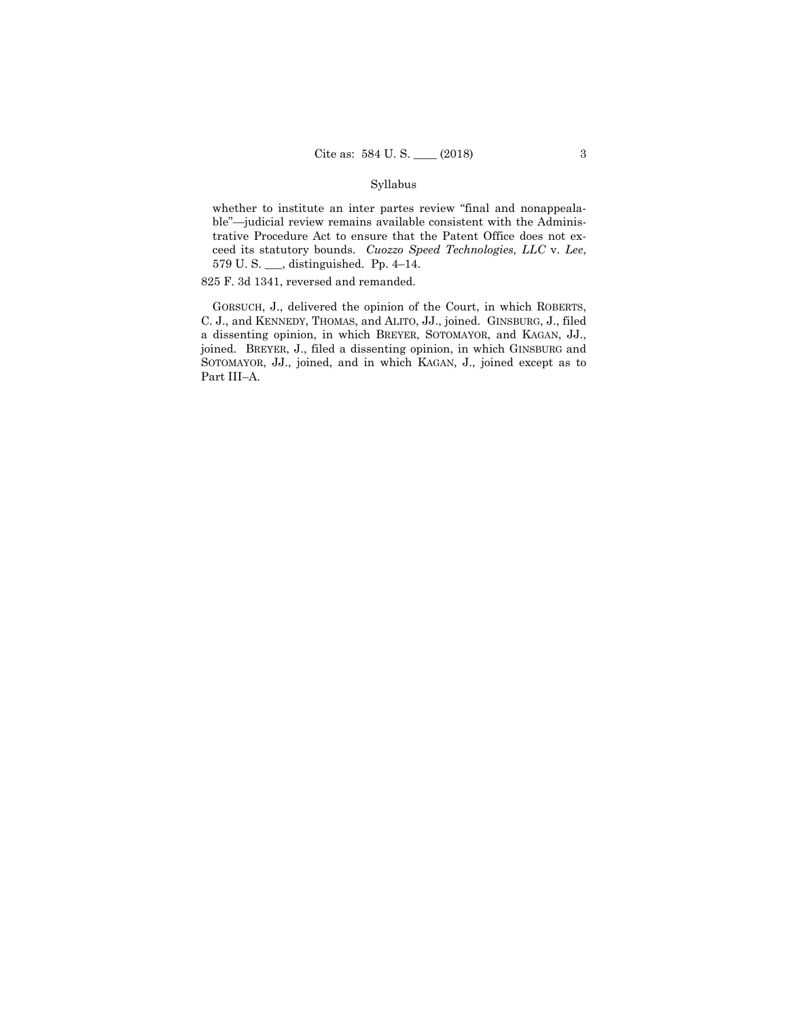### Syllabus

 ceed its statutory bounds. *Cuozzo Speed Technologies, LLC* v. *Lee*, whether to institute an inter partes review "final and nonappealable"—judicial review remains available consistent with the Administrative Procedure Act to ensure that the Patent Office does not ex-579 U. S. \_\_\_, distinguished. Pp. 4–14.

825 F. 3d 1341, reversed and remanded.

GORSUCH, J., delivered the opinion of the Court, in which ROBERTS, C. J., and KENNEDY, THOMAS, and ALITO, JJ., joined. GINSBURG, J., filed a dissenting opinion, in which BREYER, SOTOMAYOR, and KAGAN, JJ., joined. BREYER, J., filed a dissenting opinion, in which GINSBURG and SOTOMAYOR, JJ., joined, and in which KAGAN, J., joined except as to Part III–A.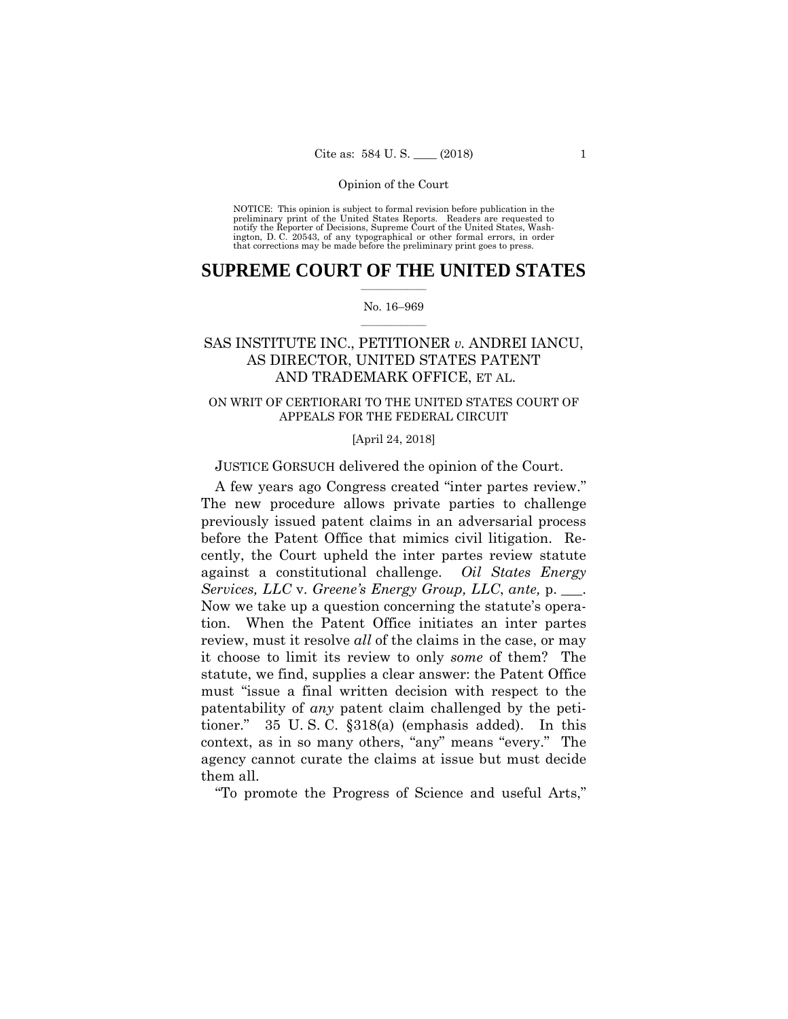preliminary print of the United States Reports. Readers are requested to notify the Reporter of Decisions, Supreme Court of the United States, Wash- ington, D. C. 20543, of any typographical or other formal errors, in order that corrections may be made before the preliminary print goes to press. NOTICE: This opinion is subject to formal revision before publication in the

## $\frac{1}{2}$  ,  $\frac{1}{2}$  ,  $\frac{1}{2}$  ,  $\frac{1}{2}$  ,  $\frac{1}{2}$  ,  $\frac{1}{2}$  ,  $\frac{1}{2}$ **SUPREME COURT OF THE UNITED STATES**

#### $\frac{1}{2}$  ,  $\frac{1}{2}$  ,  $\frac{1}{2}$  ,  $\frac{1}{2}$  ,  $\frac{1}{2}$  ,  $\frac{1}{2}$ No. 16–969

## SAS INSTITUTE INC., PETITIONER *v.* ANDREI IANCU, AS DIRECTOR, UNITED STATES PATENT AND TRADEMARK OFFICE, ET AL.

## ON WRIT OF CERTIORARI TO THE UNITED STATES COURT OF APPEALS FOR THE FEDERAL CIRCUIT

[April 24, 2018]

JUSTICE GORSUCH delivered the opinion of the Court.

A few years ago Congress created "inter partes review." The new procedure allows private parties to challenge previously issued patent claims in an adversarial process before the Patent Office that mimics civil litigation. Recently, the Court upheld the inter partes review statute against a constitutional challenge. *Oil States Energy Services, LLC* v. *Greene's Energy Group, LLC*, *ante,* p. \_\_\_. Now we take up a question concerning the statute's operation. When the Patent Office initiates an inter partes review, must it resolve *all* of the claims in the case, or may it choose to limit its review to only *some* of them? The statute, we find, supplies a clear answer: the Patent Office must "issue a final written decision with respect to the patentability of *any* patent claim challenged by the petitioner." 35 U. S. C. §318(a) (emphasis added). In this context, as in so many others, "any" means "every." The agency cannot curate the claims at issue but must decide them all.

"To promote the Progress of Science and useful Arts,"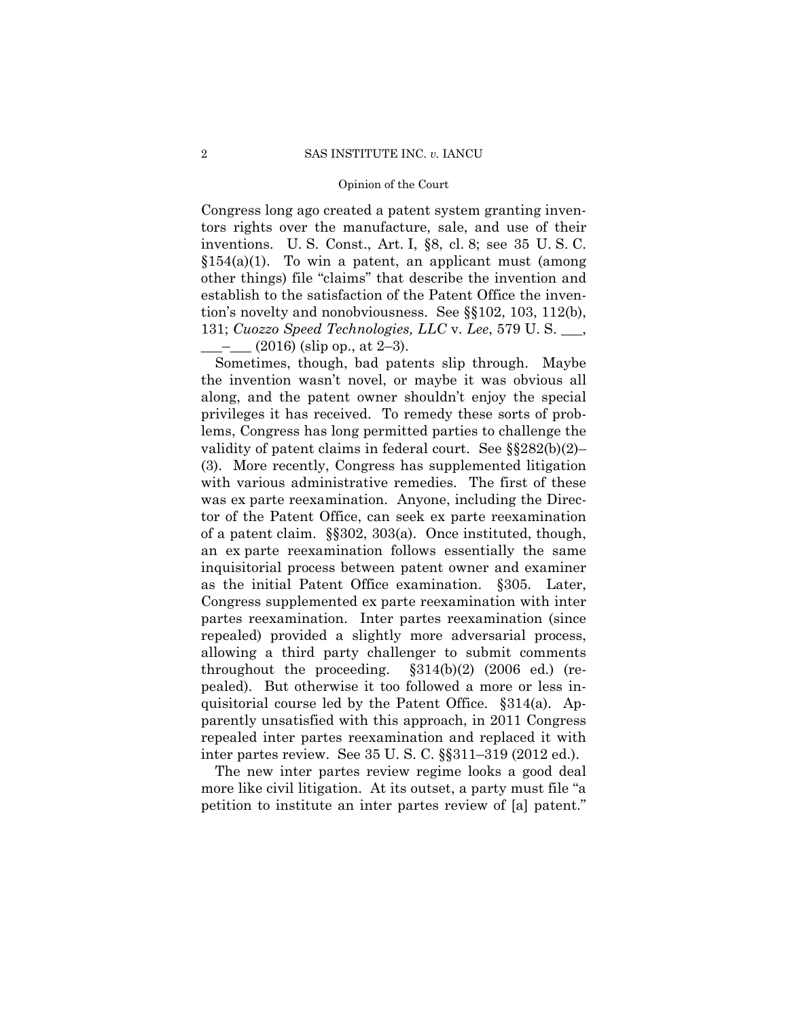Congress long ago created a patent system granting inventors rights over the manufacture, sale, and use of their inventions. U. S. Const., Art. I, §8, cl. 8; see 35 U. S. C.  $$154(a)(1)$ . To win a patent, an applicant must (among other things) file "claims" that describe the invention and establish to the satisfaction of the Patent Office the invention's novelty and nonobviousness. See §§102, 103, 112(b), 131; *Cuozzo Speed Technologies, LLC* v. *Lee*, 579 U. S. \_\_\_,  $\frac{-1}{2}$  (2016) (slip op., at 2–3).

Sometimes, though, bad patents slip through. Maybe the invention wasn't novel, or maybe it was obvious all along, and the patent owner shouldn't enjoy the special privileges it has received. To remedy these sorts of problems, Congress has long permitted parties to challenge the validity of patent claims in federal court. See §§282(b)(2)– (3). More recently, Congress has supplemented litigation with various administrative remedies. The first of these was ex parte reexamination. Anyone, including the Director of the Patent Office, can seek ex parte reexamination of a patent claim. §§302, 303(a). Once instituted, though, an ex parte reexamination follows essentially the same inquisitorial process between patent owner and examiner as the initial Patent Office examination. §305. Later, Congress supplemented ex parte reexamination with inter partes reexamination. Inter partes reexamination (since repealed) provided a slightly more adversarial process, allowing a third party challenger to submit comments throughout the proceeding. §314(b)(2) (2006 ed.) (repealed). But otherwise it too followed a more or less inquisitorial course led by the Patent Office. §314(a). Apparently unsatisfied with this approach, in 2011 Congress repealed inter partes reexamination and replaced it with inter partes review. See 35 U. S. C. §§311–319 (2012 ed.).

The new inter partes review regime looks a good deal more like civil litigation. At its outset, a party must file "a petition to institute an inter partes review of [a] patent."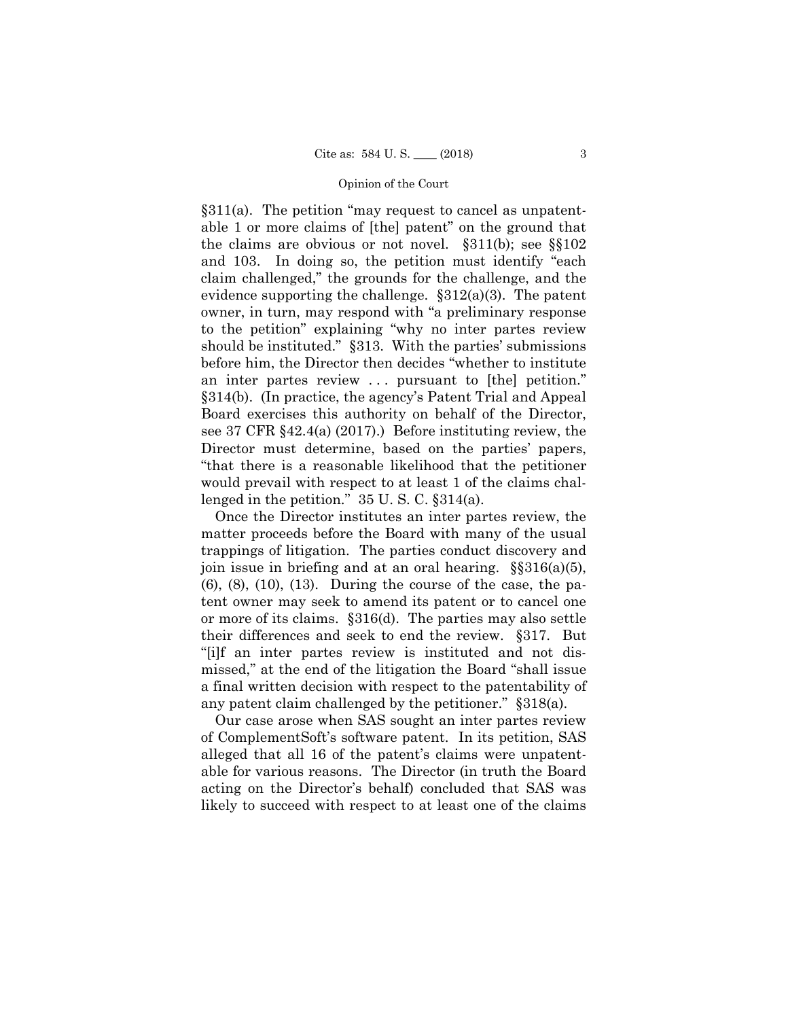§311(a). The petition "may request to cancel as unpatentable 1 or more claims of [the] patent" on the ground that the claims are obvious or not novel. §311(b); see §§102 and 103. In doing so, the petition must identify "each claim challenged," the grounds for the challenge, and the evidence supporting the challenge.  $\S 312(a)(3)$ . The patent owner, in turn, may respond with "a preliminary response to the petition" explaining "why no inter partes review should be instituted." §313. With the parties' submissions before him, the Director then decides "whether to institute an inter partes review ... pursuant to [the] petition." §314(b). (In practice, the agency's Patent Trial and Appeal Board exercises this authority on behalf of the Director, see 37 CFR §42.4(a) (2017).) Before instituting review, the Director must determine, based on the parties' papers, "that there is a reasonable likelihood that the petitioner would prevail with respect to at least 1 of the claims challenged in the petition." 35 U. S. C. §314(a).

Once the Director institutes an inter partes review, the matter proceeds before the Board with many of the usual trappings of litigation. The parties conduct discovery and join issue in briefing and at an oral hearing.  $\S$ §316(a)(5),  $(6)$ ,  $(8)$ ,  $(10)$ ,  $(13)$ . During the course of the case, the patent owner may seek to amend its patent or to cancel one or more of its claims. §316(d). The parties may also settle their differences and seek to end the review. §317. But "[i]f an inter partes review is instituted and not dismissed," at the end of the litigation the Board "shall issue a final written decision with respect to the patentability of any patent claim challenged by the petitioner." §318(a).

Our case arose when SAS sought an inter partes review of ComplementSoft's software patent. In its petition, SAS alleged that all 16 of the patent's claims were unpatentable for various reasons. The Director (in truth the Board acting on the Director's behalf) concluded that SAS was likely to succeed with respect to at least one of the claims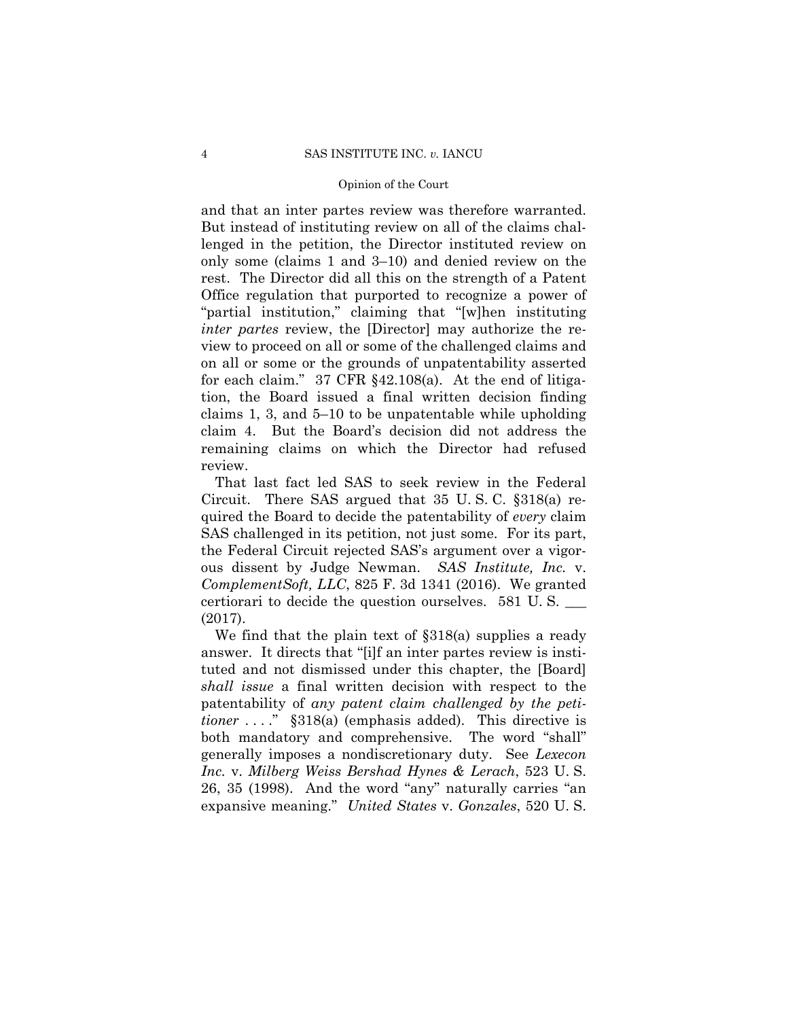and that an inter partes review was therefore warranted. But instead of instituting review on all of the claims challenged in the petition, the Director instituted review on only some (claims 1 and 3–10) and denied review on the rest. The Director did all this on the strength of a Patent Office regulation that purported to recognize a power of "partial institution," claiming that "[w]hen instituting *inter partes* review, the [Director] may authorize the review to proceed on all or some of the challenged claims and on all or some or the grounds of unpatentability asserted for each claim." 37 CFR §42.108(a). At the end of litigation, the Board issued a final written decision finding claims 1, 3, and 5–10 to be unpatentable while upholding claim 4. But the Board's decision did not address the remaining claims on which the Director had refused review.

 ous dissent by Judge Newman. *SAS Institute, Inc.* v. That last fact led SAS to seek review in the Federal Circuit. There SAS argued that 35 U. S. C. §318(a) required the Board to decide the patentability of *every* claim SAS challenged in its petition, not just some. For its part, the Federal Circuit rejected SAS's argument over a vigor-*ComplementSoft, LLC*, 825 F. 3d 1341 (2016). We granted certiorari to decide the question ourselves. 581 U. S. \_\_\_ (2017).

We find that the plain text of §318(a) supplies a ready answer. It directs that "[i]f an inter partes review is instituted and not dismissed under this chapter, the [Board] *shall issue* a final written decision with respect to the patentability of *any patent claim challenged by the petitioner* ...." §318(a) (emphasis added). This directive is both mandatory and comprehensive. The word "shall" generally imposes a nondiscretionary duty. See *Lexecon Inc.* v. *Milberg Weiss Bershad Hynes & Lerach*, 523 U. S. 26, 35 (1998). And the word "any" naturally carries "an expansive meaning." *United States* v. *Gonzales*, 520 U. S.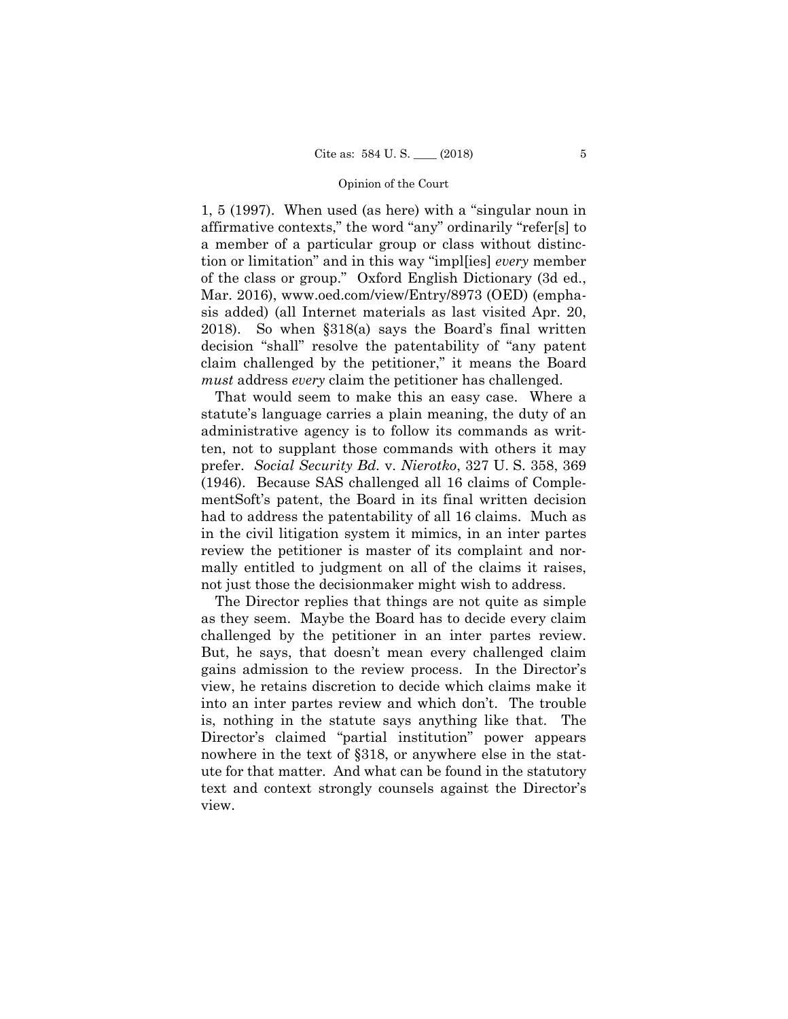1, 5 (1997). When used (as here) with a "singular noun in affirmative contexts," the word "any" ordinarily "refer[s] to a member of a particular group or class without distinction or limitation" and in this way "impl[ies] *every* member of the class or group." Oxford English Dictionary (3d ed., Mar. 2016), www.oed.com/view/Entry/8973 (OED) (emphasis added) (all Internet materials as last visited Apr. 20, 2018). So when §318(a) says the Board's final written decision "shall" resolve the patentability of "any patent claim challenged by the petitioner," it means the Board *must* address *every* claim the petitioner has challenged.

That would seem to make this an easy case. Where a statute's language carries a plain meaning, the duty of an administrative agency is to follow its commands as written, not to supplant those commands with others it may prefer. *Social Security Bd.* v. *Nierotko*, 327 U. S. 358, 369 (1946). Because SAS challenged all 16 claims of ComplementSoft's patent, the Board in its final written decision had to address the patentability of all 16 claims. Much as in the civil litigation system it mimics, in an inter partes review the petitioner is master of its complaint and normally entitled to judgment on all of the claims it raises, not just those the decisionmaker might wish to address.

 challenged by the petitioner in an inter partes review. The Director replies that things are not quite as simple as they seem. Maybe the Board has to decide every claim But, he says, that doesn't mean every challenged claim gains admission to the review process. In the Director's view, he retains discretion to decide which claims make it into an inter partes review and which don't. The trouble is, nothing in the statute says anything like that. The Director's claimed "partial institution" power appears nowhere in the text of §318, or anywhere else in the statute for that matter. And what can be found in the statutory text and context strongly counsels against the Director's view.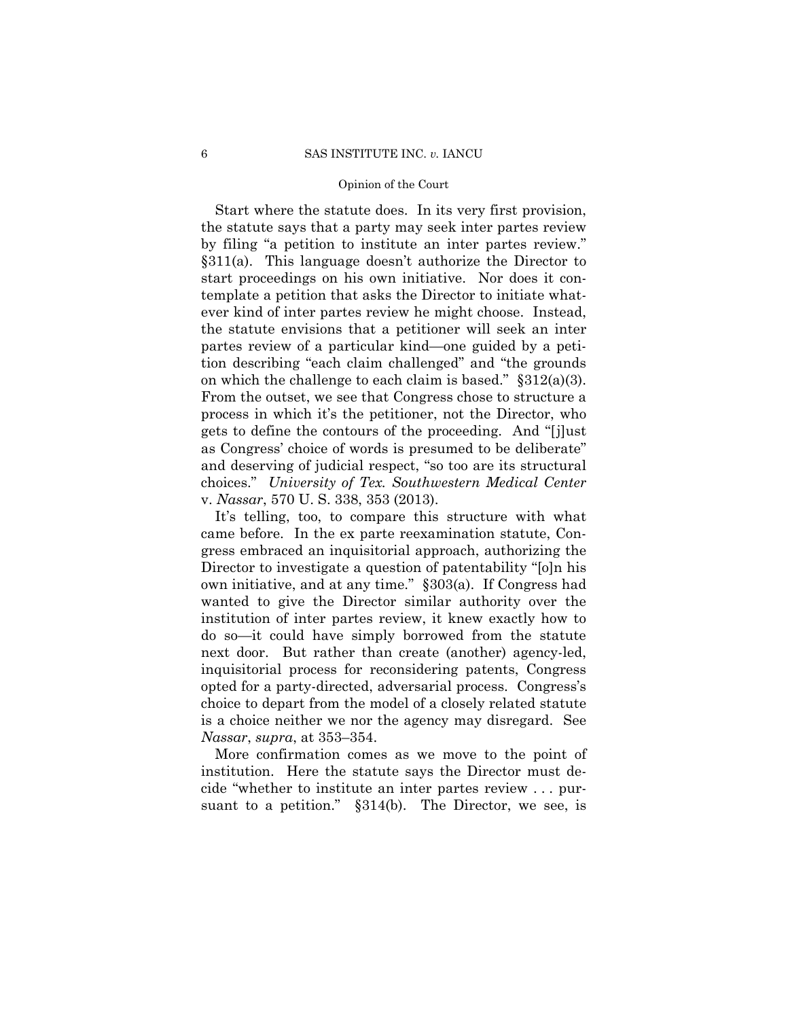on which the challenge to each claim is based." §312(a)(3). Start where the statute does. In its very first provision, the statute says that a party may seek inter partes review by filing "a petition to institute an inter partes review." §311(a). This language doesn't authorize the Director to start proceedings on his own initiative. Nor does it contemplate a petition that asks the Director to initiate whatever kind of inter partes review he might choose. Instead, the statute envisions that a petitioner will seek an inter partes review of a particular kind—one guided by a petition describing "each claim challenged" and "the grounds From the outset, we see that Congress chose to structure a process in which it's the petitioner, not the Director, who gets to define the contours of the proceeding. And "[j]ust as Congress' choice of words is presumed to be deliberate" and deserving of judicial respect, "so too are its structural choices." *University of Tex. Southwestern Medical Center*  v. *Nassar*, 570 U. S. 338, 353 (2013).

It's telling, too, to compare this structure with what came before. In the ex parte reexamination statute, Congress embraced an inquisitorial approach, authorizing the Director to investigate a question of patentability "[o]n his own initiative, and at any time." §303(a). If Congress had wanted to give the Director similar authority over the institution of inter partes review, it knew exactly how to do so—it could have simply borrowed from the statute next door. But rather than create (another) agency-led, inquisitorial process for reconsidering patents, Congress opted for a party-directed, adversarial process. Congress's choice to depart from the model of a closely related statute is a choice neither we nor the agency may disregard. See *Nassar*, *supra*, at 353–354.

More confirmation comes as we move to the point of institution. Here the statute says the Director must decide "whether to institute an inter partes review . . . pursuant to a petition." §314(b). The Director, we see, is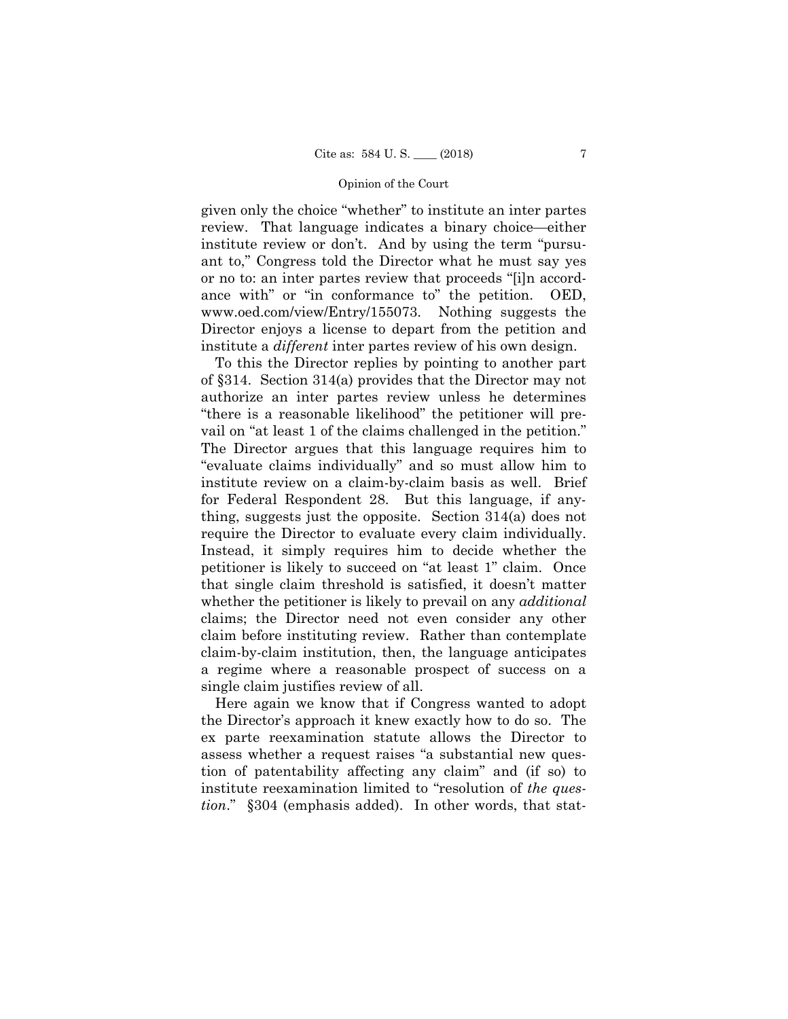given only the choice "whether" to institute an inter partes review. That language indicates a binary choice—either institute review or don't. And by using the term "pursuant to," Congress told the Director what he must say yes or no to: an inter partes review that proceeds "[i]n accordance with" or "in conformance to" the petition. OED, www.oed.com/view/Entry/155073. Nothing suggests the Director enjoys a license to depart from the petition and institute a *different* inter partes review of his own design.

To this the Director replies by pointing to another part of §314. Section 314(a) provides that the Director may not authorize an inter partes review unless he determines "there is a reasonable likelihood" the petitioner will prevail on "at least 1 of the claims challenged in the petition." The Director argues that this language requires him to "evaluate claims individually" and so must allow him to institute review on a claim-by-claim basis as well. Brief for Federal Respondent 28. But this language, if anything, suggests just the opposite. Section 314(a) does not require the Director to evaluate every claim individually. Instead, it simply requires him to decide whether the petitioner is likely to succeed on "at least 1" claim. Once that single claim threshold is satisfied, it doesn't matter whether the petitioner is likely to prevail on any *additional*  claims; the Director need not even consider any other claim before instituting review. Rather than contemplate claim-by-claim institution, then, the language anticipates a regime where a reasonable prospect of success on a single claim justifies review of all.

Here again we know that if Congress wanted to adopt the Director's approach it knew exactly how to do so. The ex parte reexamination statute allows the Director to assess whether a request raises "a substantial new question of patentability affecting any claim" and (if so) to institute reexamination limited to "resolution of *the question*." §304 (emphasis added). In other words, that stat-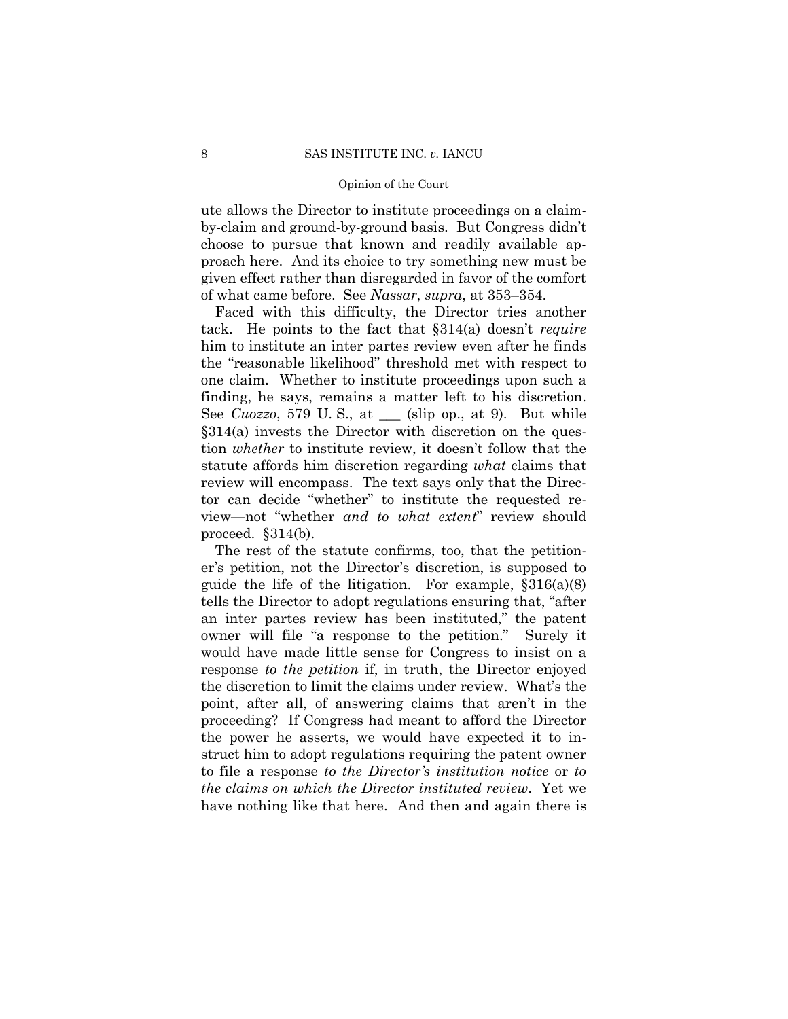ute allows the Director to institute proceedings on a claimby-claim and ground-by-ground basis. But Congress didn't choose to pursue that known and readily available approach here. And its choice to try something new must be given effect rather than disregarded in favor of the comfort of what came before. See *Nassar*, *supra*, at 353–354.

 tack. He points to the fact that §314(a) doesn't *require* one claim. Whether to institute proceedings upon such a Faced with this difficulty, the Director tries another him to institute an inter partes review even after he finds the "reasonable likelihood" threshold met with respect to finding, he says, remains a matter left to his discretion. See *Cuozzo*, 579 U. S., at \_\_\_ (slip op., at 9). But while §314(a) invests the Director with discretion on the question *whether* to institute review, it doesn't follow that the statute affords him discretion regarding *what* claims that review will encompass. The text says only that the Director can decide "whether" to institute the requested review—not "whether *and to what extent*" review should proceed. §314(b).

The rest of the statute confirms, too, that the petitioner's petition, not the Director's discretion, is supposed to guide the life of the litigation. For example, §316(a)(8) tells the Director to adopt regulations ensuring that, "after an inter partes review has been instituted," the patent owner will file "a response to the petition." Surely it would have made little sense for Congress to insist on a response *to the petition* if, in truth, the Director enjoyed the discretion to limit the claims under review. What's the point, after all, of answering claims that aren't in the proceeding? If Congress had meant to afford the Director the power he asserts, we would have expected it to instruct him to adopt regulations requiring the patent owner to file a response *to the Director's institution notice* or *to the claims on which the Director instituted review*. Yet we have nothing like that here. And then and again there is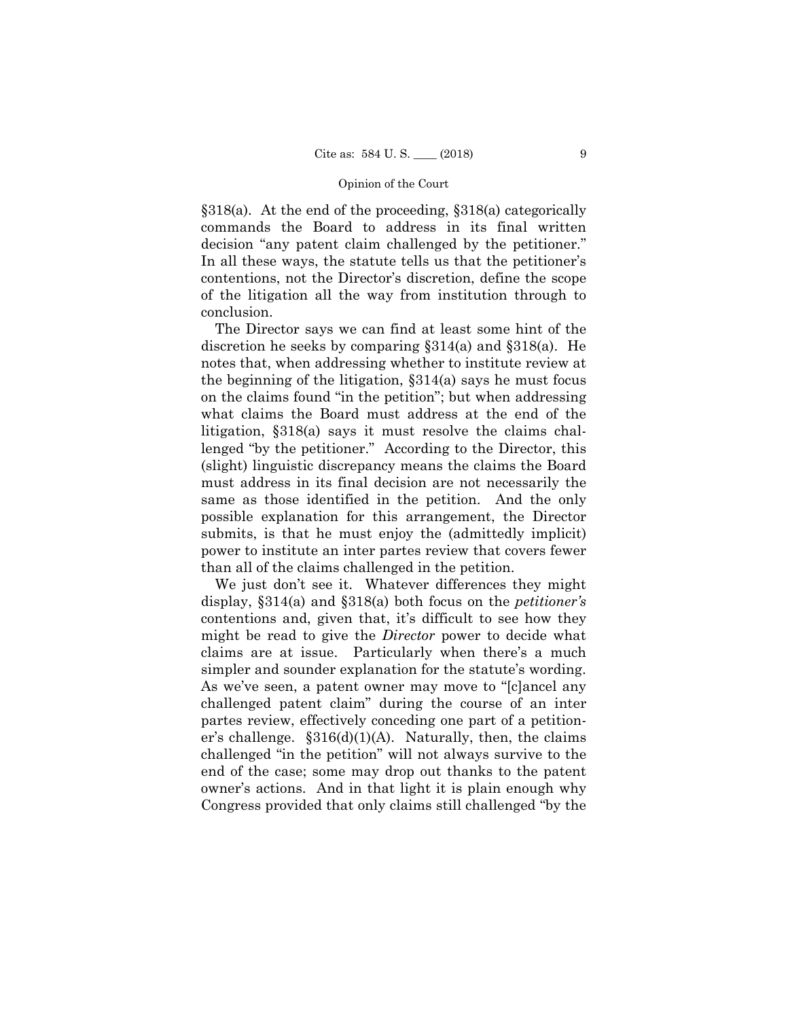§318(a). At the end of the proceeding, §318(a) categorically commands the Board to address in its final written decision "any patent claim challenged by the petitioner." In all these ways, the statute tells us that the petitioner's contentions, not the Director's discretion, define the scope of the litigation all the way from institution through to conclusion.

The Director says we can find at least some hint of the discretion he seeks by comparing §314(a) and §318(a). He notes that, when addressing whether to institute review at the beginning of the litigation, §314(a) says he must focus on the claims found "in the petition"; but when addressing what claims the Board must address at the end of the litigation, §318(a) says it must resolve the claims challenged "by the petitioner." According to the Director, this (slight) linguistic discrepancy means the claims the Board must address in its final decision are not necessarily the same as those identified in the petition. And the only possible explanation for this arrangement, the Director submits, is that he must enjoy the (admittedly implicit) power to institute an inter partes review that covers fewer than all of the claims challenged in the petition.

We just don't see it. Whatever differences they might display, §314(a) and §318(a) both focus on the *petitioner's* contentions and, given that, it's difficult to see how they might be read to give the *Director* power to decide what claims are at issue. Particularly when there's a much simpler and sounder explanation for the statute's wording. As we've seen, a patent owner may move to "[c]ancel any challenged patent claim" during the course of an inter partes review, effectively conceding one part of a petitioner's challenge.  $$316(d)(1)(A)$ . Naturally, then, the claims challenged "in the petition" will not always survive to the end of the case; some may drop out thanks to the patent owner's actions. And in that light it is plain enough why Congress provided that only claims still challenged "by the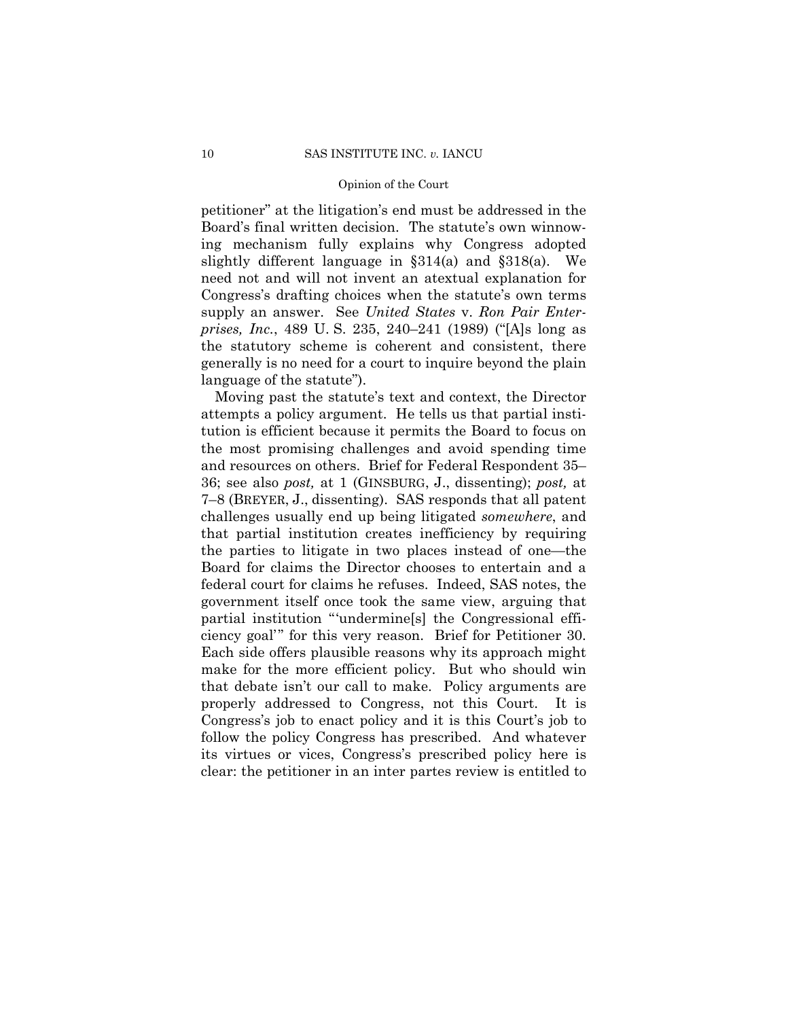petitioner" at the litigation's end must be addressed in the Board's final written decision. The statute's own winnowing mechanism fully explains why Congress adopted slightly different language in §314(a) and §318(a). We need not and will not invent an atextual explanation for Congress's drafting choices when the statute's own terms supply an answer. See *United States* v. *Ron Pair Enterprises, Inc.*, 489 U. S. 235, 240–241 (1989) ("[A]s long as the statutory scheme is coherent and consistent, there generally is no need for a court to inquire beyond the plain language of the statute").

 36; see also *post,* at 1 (GINSBURG, J., dissenting); *post,* at 7–8 (BREYER, J., dissenting). SAS responds that all patent ciency goal" for this very reason. Brief for Petitioner 30. Moving past the statute's text and context, the Director attempts a policy argument. He tells us that partial institution is efficient because it permits the Board to focus on the most promising challenges and avoid spending time and resources on others. Brief for Federal Respondent 35– challenges usually end up being litigated *somewhere*, and that partial institution creates inefficiency by requiring the parties to litigate in two places instead of one—the Board for claims the Director chooses to entertain and a federal court for claims he refuses. Indeed, SAS notes, the government itself once took the same view, arguing that partial institution "'undermine[s] the Congressional effi-Each side offers plausible reasons why its approach might make for the more efficient policy. But who should win that debate isn't our call to make. Policy arguments are properly addressed to Congress, not this Court. It is Congress's job to enact policy and it is this Court's job to follow the policy Congress has prescribed. And whatever its virtues or vices, Congress's prescribed policy here is clear: the petitioner in an inter partes review is entitled to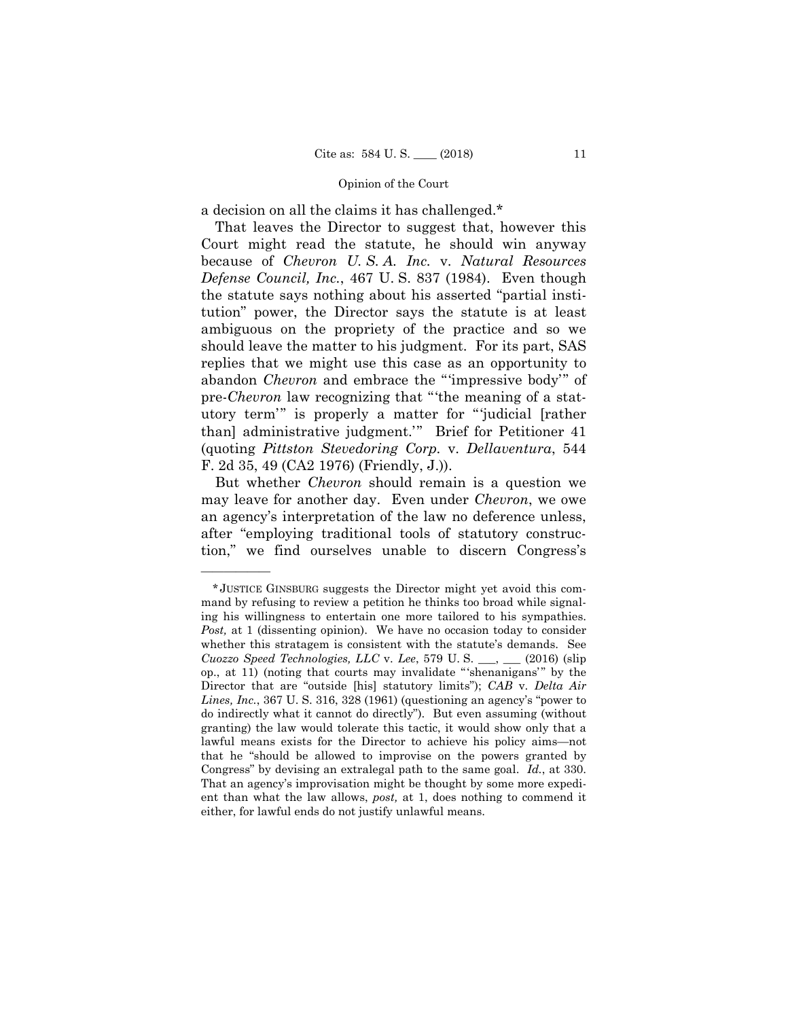a decision on all the claims it has challenged.\*

That leaves the Director to suggest that, however this Court might read the statute, he should win anyway because of *Chevron U. S. A. Inc.* v. *Natural Resources Defense Council, Inc.*, 467 U. S. 837 (1984). Even though the statute says nothing about his asserted "partial institution" power, the Director says the statute is at least ambiguous on the propriety of the practice and so we should leave the matter to his judgment. For its part, SAS replies that we might use this case as an opportunity to abandon *Chevron* and embrace the "'impressive body'" of pre-*Chevron* law recognizing that "'the meaning of a statutory term'" is properly a matter for "'judicial [rather than] administrative judgment.'" Brief for Petitioner 41 (quoting *Pittston Stevedoring Corp.* v. *Dellaventura*, 544 F. 2d 35, 49 (CA2 1976) (Friendly, J.)).

 But whether *Chevron* should remain is a question we may leave for another day. Even under *Chevron*, we owe an agency's interpretation of the law no deference unless, after "employing traditional tools of statutory construction," we find ourselves unable to discern Congress's

——————

<sup>\*</sup> JUSTICE GINSBURG suggests the Director might yet avoid this command by refusing to review a petition he thinks too broad while signaling his willingness to entertain one more tailored to his sympathies. *Post*, at 1 (dissenting opinion). We have no occasion today to consider whether this stratagem is consistent with the statute's demands. See *Cuozzo Speed Technologies, LLC* v. *Lee*, 579 U. S. \_\_\_, \_\_\_ (2016) (slip op., at 11) (noting that courts may invalidate " 'shenanigans' " by the Director that are "outside [his] statutory limits"); *CAB* v. *Delta Air Lines, Inc.*, 367 U. S. 316, 328 (1961) (questioning an agency's "power to do indirectly what it cannot do directly"). But even assuming (without granting) the law would tolerate this tactic, it would show only that a lawful means exists for the Director to achieve his policy aims—not that he "should be allowed to improvise on the powers granted by Congress" by devising an extralegal path to the same goal. *Id.*, at 330. That an agency's improvisation might be thought by some more expedient than what the law allows, *post,* at 1, does nothing to commend it either, for lawful ends do not justify unlawful means.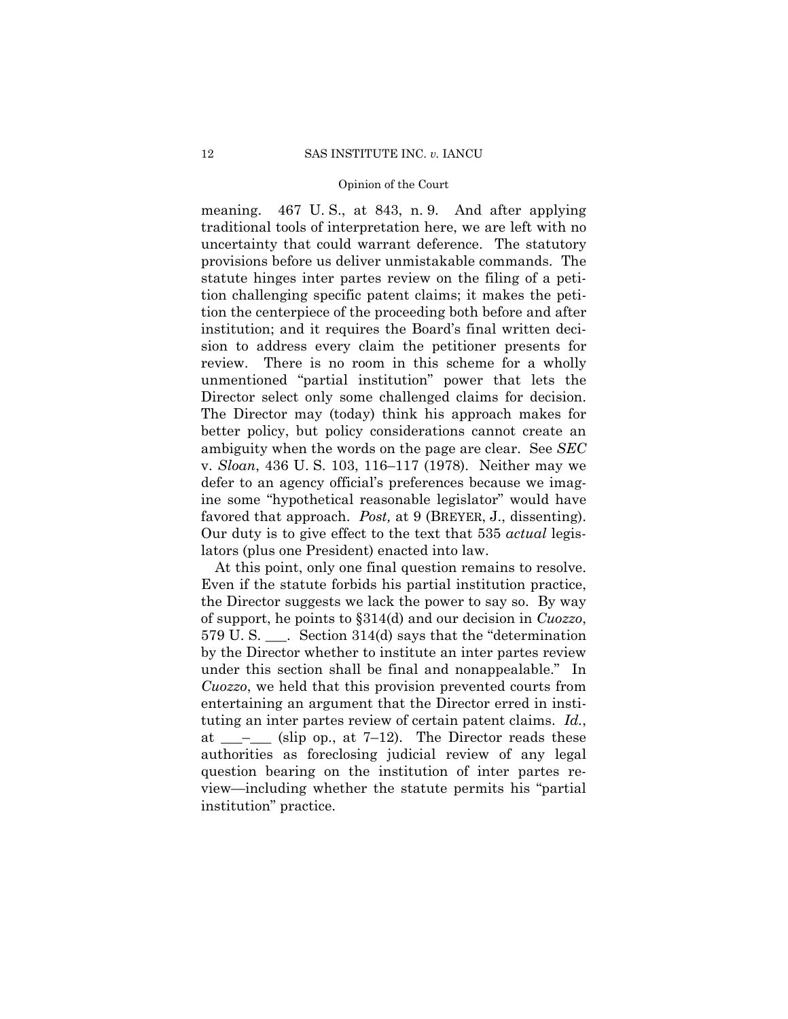meaning. 467 U. S., at 843, n. 9. And after applying traditional tools of interpretation here, we are left with no uncertainty that could warrant deference. The statutory provisions before us deliver unmistakable commands. The statute hinges inter partes review on the filing of a petition challenging specific patent claims; it makes the petition the centerpiece of the proceeding both before and after institution; and it requires the Board's final written decision to address every claim the petitioner presents for review. There is no room in this scheme for a wholly unmentioned "partial institution" power that lets the Director select only some challenged claims for decision. The Director may (today) think his approach makes for better policy, but policy considerations cannot create an ambiguity when the words on the page are clear. See *SEC*  v. *Sloan*, 436 U. S. 103, 116–117 (1978). Neither may we defer to an agency official's preferences because we imagine some "hypothetical reasonable legislator" would have favored that approach. *Post*, at 9 (BREYER, J., dissenting). Our duty is to give effect to the text that 535 *actual* legislators (plus one President) enacted into law.

At this point, only one final question remains to resolve. Even if the statute forbids his partial institution practice, the Director suggests we lack the power to say so. By way of support, he points to §314(d) and our decision in *Cuozzo*, 579 U. S. \_\_\_. Section 314(d) says that the "determination by the Director whether to institute an inter partes review under this section shall be final and nonappealable." In *Cuozzo*, we held that this provision prevented courts from entertaining an argument that the Director erred in instituting an inter partes review of certain patent claims. *Id.*, at  $\_\_\_\_\_\_\$ (slip op., at 7–12). The Director reads these authorities as foreclosing judicial review of any legal question bearing on the institution of inter partes review—including whether the statute permits his "partial institution" practice.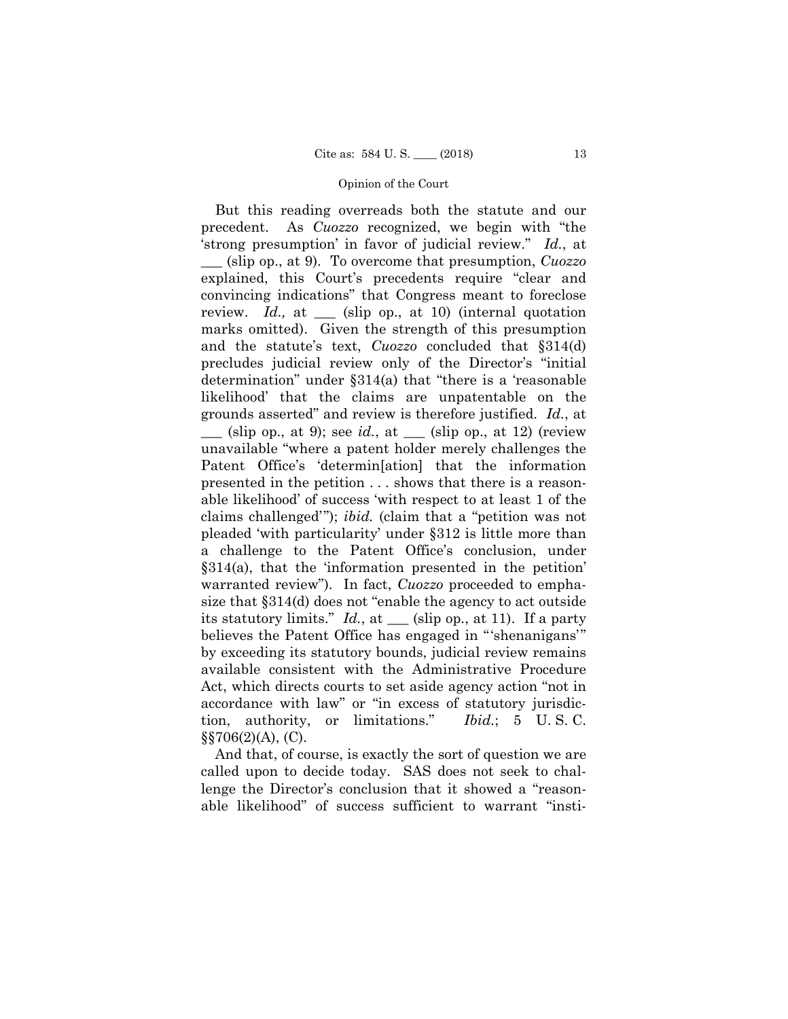tion, authority, or limitations." *Ibid.*; 5 U. S. C. But this reading overreads both the statute and our precedent. As *Cuozzo* recognized, we begin with "the 'strong presumption' in favor of judicial review." *Id.*, at \_\_\_ (slip op., at 9). To overcome that presumption, *Cuozzo*  explained, this Court's precedents require "clear and convincing indications" that Congress meant to foreclose review. *Id.,* at \_\_\_ (slip op., at 10) (internal quotation marks omitted). Given the strength of this presumption and the statute's text, *Cuozzo* concluded that §314(d) precludes judicial review only of the Director's "initial determination" under §314(a) that "there is a 'reasonable likelihood' that the claims are unpatentable on the grounds asserted" and review is therefore justified. *Id.*, at  $\equiv$  (slip op., at 9); see *id.*, at  $\equiv$  (slip op., at 12) (review unavailable "where a patent holder merely challenges the Patent Office's 'determin[ation] that the information presented in the petition . . . shows that there is a reasonable likelihood' of success 'with respect to at least 1 of the claims challenged'"); *ibid.* (claim that a "petition was not pleaded 'with particularity' under §312 is little more than a challenge to the Patent Office's conclusion, under §314(a), that the 'information presented in the petition' warranted review"). In fact, *Cuozzo* proceeded to emphasize that §314(d) does not "enable the agency to act outside its statutory limits."  $Id.$ , at  $\_\_\_\$  (slip op., at 11). If a party believes the Patent Office has engaged in "'shenanigans'" by exceeding its statutory bounds, judicial review remains available consistent with the Administrative Procedure Act, which directs courts to set aside agency action "not in accordance with law" or "in excess of statutory jurisdic- $\S$ §706(2)(A), (C).

And that, of course, is exactly the sort of question we are called upon to decide today. SAS does not seek to challenge the Director's conclusion that it showed a "reasonable likelihood" of success sufficient to warrant "insti-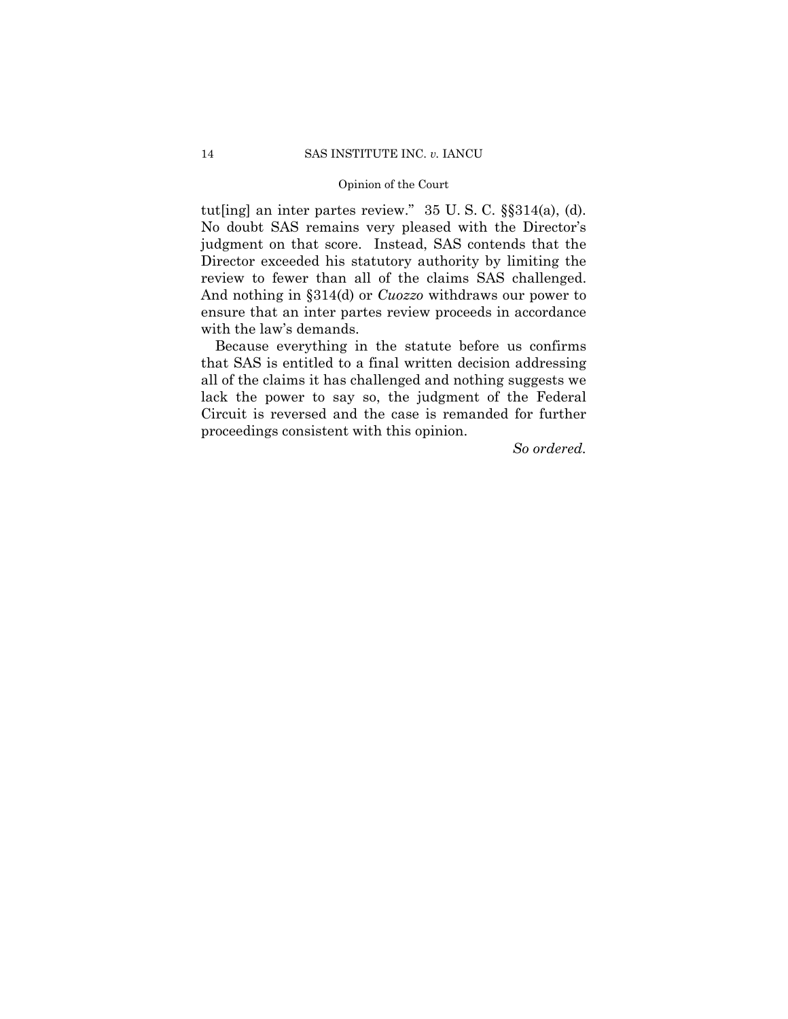tut[ing] an inter partes review." 35 U. S. C. §§314(a), (d). No doubt SAS remains very pleased with the Director's judgment on that score. Instead, SAS contends that the Director exceeded his statutory authority by limiting the review to fewer than all of the claims SAS challenged. And nothing in §314(d) or *Cuozzo* withdraws our power to ensure that an inter partes review proceeds in accordance with the law's demands.

Because everything in the statute before us confirms that SAS is entitled to a final written decision addressing all of the claims it has challenged and nothing suggests we lack the power to say so, the judgment of the Federal Circuit is reversed and the case is remanded for further proceedings consistent with this opinion.

*So ordered.*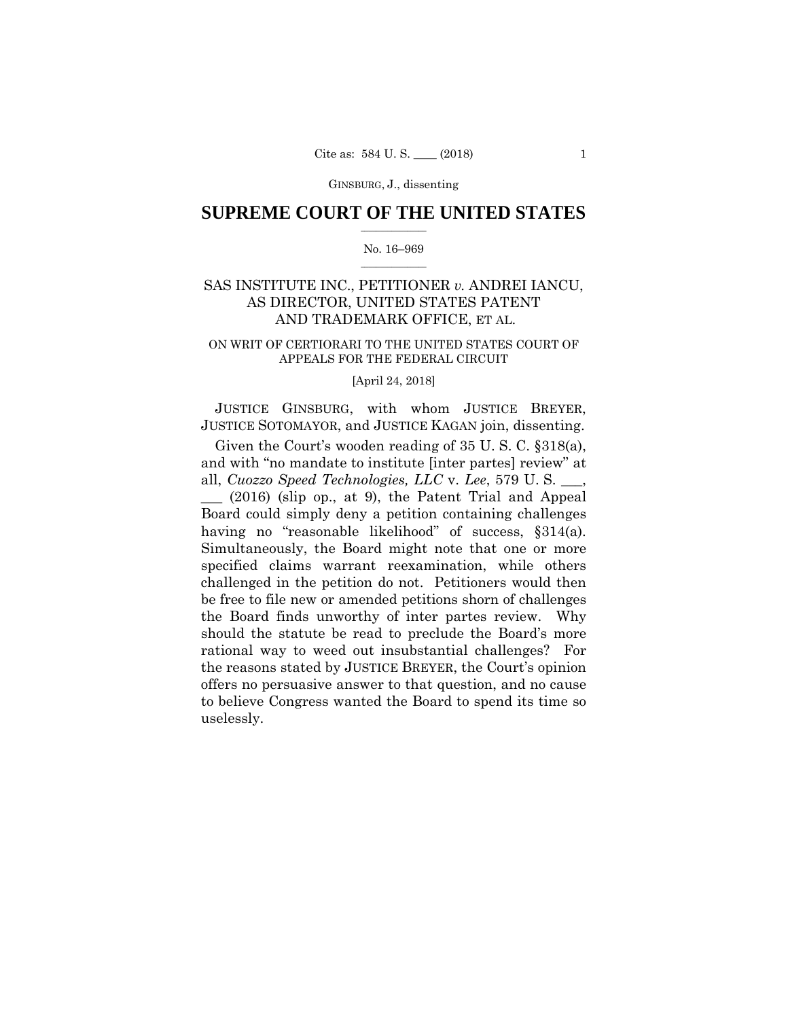GINSBURG, J., dissenting

## $\frac{1}{2}$  ,  $\frac{1}{2}$  ,  $\frac{1}{2}$  ,  $\frac{1}{2}$  ,  $\frac{1}{2}$  ,  $\frac{1}{2}$  ,  $\frac{1}{2}$ **SUPREME COURT OF THE UNITED STATES**

#### $\frac{1}{2}$  ,  $\frac{1}{2}$  ,  $\frac{1}{2}$  ,  $\frac{1}{2}$  ,  $\frac{1}{2}$  ,  $\frac{1}{2}$ No. 16–969

## SAS INSTITUTE INC., PETITIONER *v.* ANDREI IANCU, AS DIRECTOR, UNITED STATES PATENT AND TRADEMARK OFFICE, ET AL.

## ON WRIT OF CERTIORARI TO THE UNITED STATES COURT OF APPEALS FOR THE FEDERAL CIRCUIT

### [April 24, 2018]

 JUSTICE GINSBURG, with whom JUSTICE BREYER, JUSTICE SOTOMAYOR, and JUSTICE KAGAN join, dissenting.

Given the Court's wooden reading of 35 U. S. C. §318(a), and with "no mandate to institute [inter partes] review" at all, *Cuozzo Speed Technologies, LLC* v. *Lee*, 579 U. S. \_\_\_,

 having no "reasonable likelihood" of success, §314(a). \_\_\_ (2016) (slip op., at 9), the Patent Trial and Appeal Board could simply deny a petition containing challenges Simultaneously, the Board might note that one or more specified claims warrant reexamination, while others challenged in the petition do not. Petitioners would then be free to file new or amended petitions shorn of challenges the Board finds unworthy of inter partes review. Why should the statute be read to preclude the Board's more rational way to weed out insubstantial challenges? For the reasons stated by JUSTICE BREYER, the Court's opinion offers no persuasive answer to that question, and no cause to believe Congress wanted the Board to spend its time so uselessly.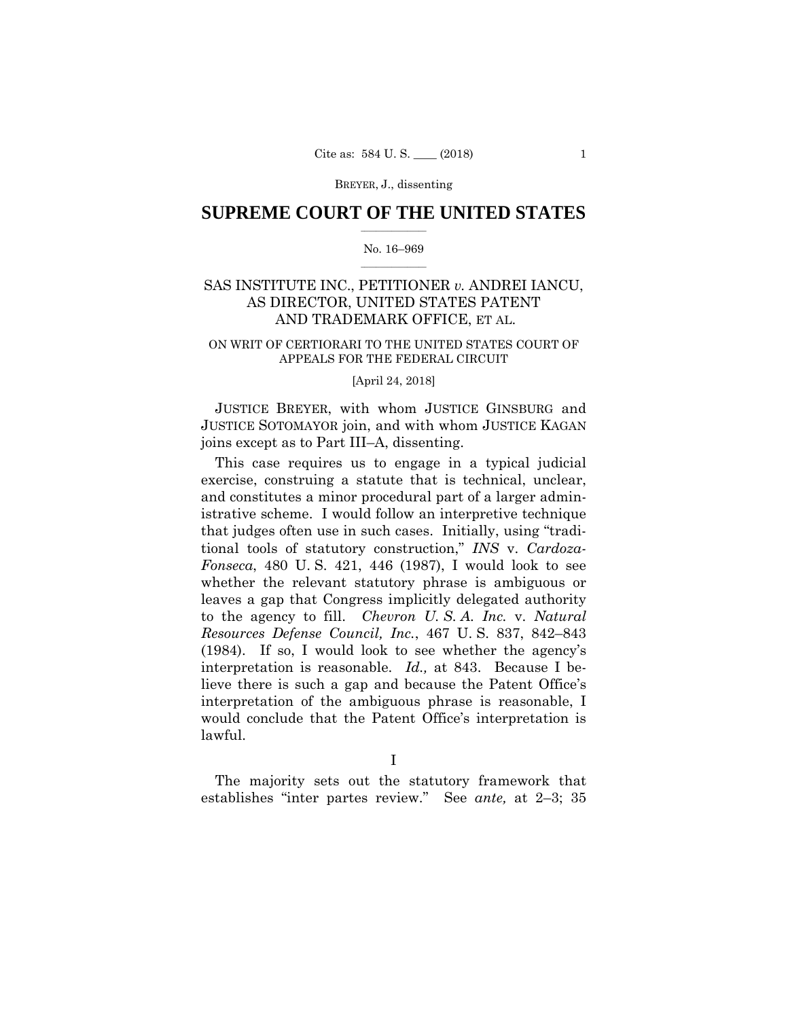## $\frac{1}{2}$  ,  $\frac{1}{2}$  ,  $\frac{1}{2}$  ,  $\frac{1}{2}$  ,  $\frac{1}{2}$  ,  $\frac{1}{2}$  ,  $\frac{1}{2}$ **SUPREME COURT OF THE UNITED STATES**

#### $\frac{1}{2}$  ,  $\frac{1}{2}$  ,  $\frac{1}{2}$  ,  $\frac{1}{2}$  ,  $\frac{1}{2}$  ,  $\frac{1}{2}$ No. 16–969

## SAS INSTITUTE INC., PETITIONER *v.* ANDREI IANCU, AS DIRECTOR, UNITED STATES PATENT AND TRADEMARK OFFICE, ET AL.

#### ON WRIT OF CERTIORARI TO THE UNITED STATES COURT OF APPEALS FOR THE FEDERAL CIRCUIT

### [April 24, 2018]

 JUSTICE BREYER, with whom JUSTICE GINSBURG and JUSTICE SOTOMAYOR join, and with whom JUSTICE KAGAN joins except as to Part III–A, dissenting.

This case requires us to engage in a typical judicial exercise, construing a statute that is technical, unclear, and constitutes a minor procedural part of a larger administrative scheme. I would follow an interpretive technique that judges often use in such cases. Initially, using "traditional tools of statutory construction," *INS* v. *Cardoza-Fonseca*, 480 U. S. 421, 446 (1987), I would look to see whether the relevant statutory phrase is ambiguous or leaves a gap that Congress implicitly delegated authority to the agency to fill. *Chevron U. S. A. Inc.* v. *Natural Resources Defense Council, Inc.*, 467 U. S. 837, 842–843 (1984). If so, I would look to see whether the agency's interpretation is reasonable. *Id.,* at 843. Because I believe there is such a gap and because the Patent Office's interpretation of the ambiguous phrase is reasonable, I would conclude that the Patent Office's interpretation is lawful.

I

The majority sets out the statutory framework that establishes "inter partes review." See *ante,* at 2–3; 35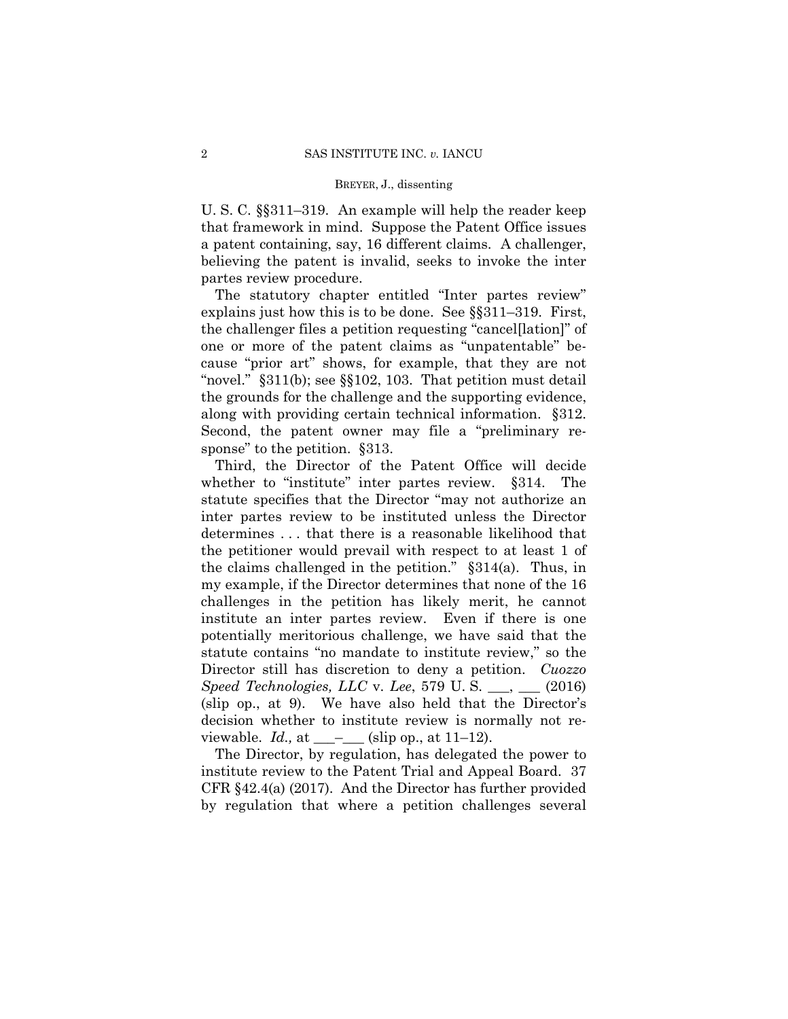a patent containing, say, 16 different claims. A challenger, U. S. C. §§311–319. An example will help the reader keep that framework in mind. Suppose the Patent Office issues believing the patent is invalid, seeks to invoke the inter partes review procedure.

 "novel." §311(b); see §§102, 103. That petition must detail The statutory chapter entitled "Inter partes review" explains just how this is to be done. See §§311–319. First, the challenger files a petition requesting "cancel[lation]" of one or more of the patent claims as "unpatentable" because "prior art" shows, for example, that they are not the grounds for the challenge and the supporting evidence, along with providing certain technical information. §312. Second, the patent owner may file a "preliminary response" to the petition.  $§313$ .

Third, the Director of the Patent Office will decide whether to "institute" inter partes review. §314. The statute specifies that the Director "may not authorize an inter partes review to be instituted unless the Director determines . . . that there is a reasonable likelihood that the petitioner would prevail with respect to at least 1 of the claims challenged in the petition." §314(a). Thus, in my example, if the Director determines that none of the 16 challenges in the petition has likely merit, he cannot institute an inter partes review. Even if there is one potentially meritorious challenge, we have said that the statute contains "no mandate to institute review," so the Director still has discretion to deny a petition. *Cuozzo Speed Technologies, LLC* v. *Lee*, 579 U. S. \_\_\_, \_\_\_ (2016) (slip op., at 9). We have also held that the Director's decision whether to institute review is normally not reviewable.  $Id.$ , at  $\_\_\_\_\_$ (slip op., at 11–12).

The Director, by regulation, has delegated the power to institute review to the Patent Trial and Appeal Board. 37 CFR §42.4(a) (2017). And the Director has further provided by regulation that where a petition challenges several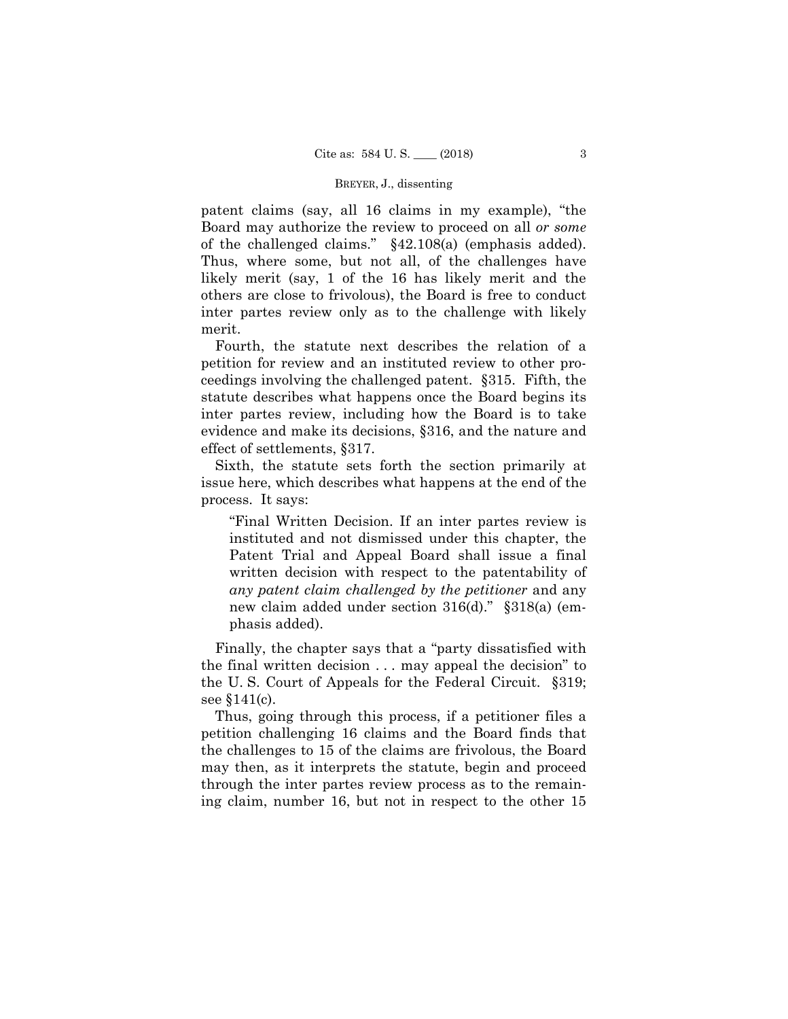patent claims (say, all 16 claims in my example), "the Board may authorize the review to proceed on all *or some*  of the challenged claims." §42.108(a) (emphasis added). Thus, where some, but not all, of the challenges have likely merit (say, 1 of the 16 has likely merit and the others are close to frivolous), the Board is free to conduct inter partes review only as to the challenge with likely merit.

Fourth, the statute next describes the relation of a petition for review and an instituted review to other proceedings involving the challenged patent. §315. Fifth, the statute describes what happens once the Board begins its inter partes review, including how the Board is to take evidence and make its decisions, §316, and the nature and effect of settlements, §317.

Sixth, the statute sets forth the section primarily at issue here, which describes what happens at the end of the process. It says:

"Final Written Decision. If an inter partes review is instituted and not dismissed under this chapter, the Patent Trial and Appeal Board shall issue a final written decision with respect to the patentability of *any patent claim challenged by the petitioner* and any new claim added under section 316(d)." §318(a) (emphasis added).

Finally, the chapter says that a "party dissatisfied with the final written decision . . . may appeal the decision" to the U. S. Court of Appeals for the Federal Circuit. §319; see §141(c).

Thus, going through this process, if a petitioner files a petition challenging 16 claims and the Board finds that the challenges to 15 of the claims are frivolous, the Board may then, as it interprets the statute, begin and proceed through the inter partes review process as to the remaining claim, number 16, but not in respect to the other 15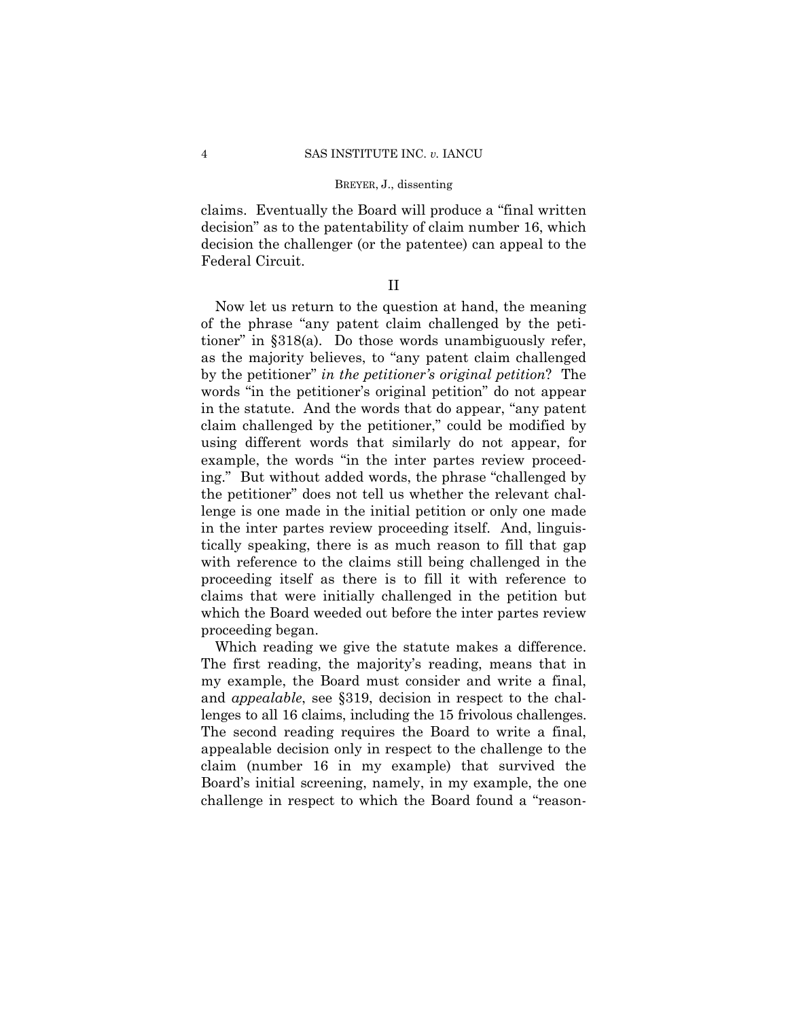claims. Eventually the Board will produce a "final written decision" as to the patentability of claim number 16, which decision the challenger (or the patentee) can appeal to the Federal Circuit.

## II

Now let us return to the question at hand, the meaning of the phrase "any patent claim challenged by the petitioner" in §318(a). Do those words unambiguously refer, as the majority believes, to "any patent claim challenged by the petitioner" *in the petitioner's original petition*? The words "in the petitioner's original petition" do not appear in the statute. And the words that do appear, "any patent claim challenged by the petitioner," could be modified by using different words that similarly do not appear, for example, the words "in the inter partes review proceeding." But without added words, the phrase "challenged by the petitioner" does not tell us whether the relevant challenge is one made in the initial petition or only one made in the inter partes review proceeding itself. And, linguistically speaking, there is as much reason to fill that gap with reference to the claims still being challenged in the proceeding itself as there is to fill it with reference to claims that were initially challenged in the petition but which the Board weeded out before the inter partes review proceeding began.

Which reading we give the statute makes a difference. The first reading, the majority's reading, means that in my example, the Board must consider and write a final, and *appealable*, see §319, decision in respect to the challenges to all 16 claims, including the 15 frivolous challenges. The second reading requires the Board to write a final, appealable decision only in respect to the challenge to the claim (number 16 in my example) that survived the Board's initial screening, namely, in my example, the one challenge in respect to which the Board found a "reason-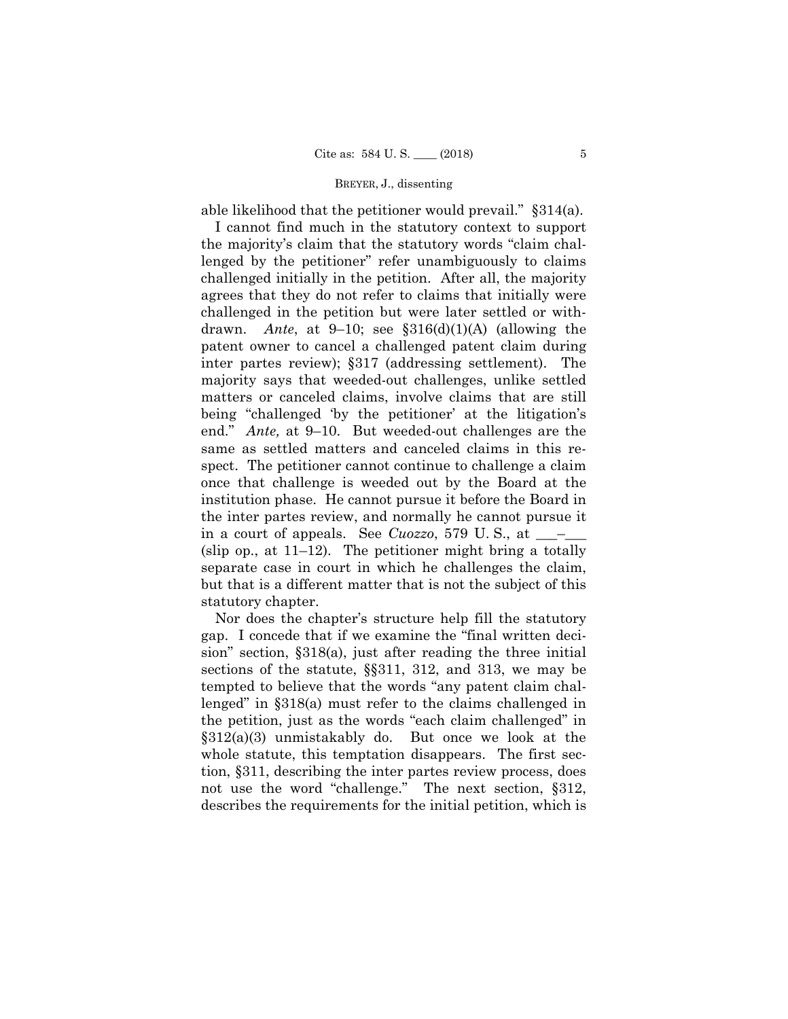able likelihood that the petitioner would prevail." §314(a).

 drawn. *Ante*, at 9–10; see §316(d)(1)(A) (allowing the I cannot find much in the statutory context to support the majority's claim that the statutory words "claim challenged by the petitioner" refer unambiguously to claims challenged initially in the petition. After all, the majority agrees that they do not refer to claims that initially were challenged in the petition but were later settled or withpatent owner to cancel a challenged patent claim during inter partes review); §317 (addressing settlement). The majority says that weeded-out challenges, unlike settled matters or canceled claims, involve claims that are still being "challenged 'by the petitioner' at the litigation's end." *Ante,* at 9–10. But weeded-out challenges are the same as settled matters and canceled claims in this respect. The petitioner cannot continue to challenge a claim once that challenge is weeded out by the Board at the institution phase. He cannot pursue it before the Board in the inter partes review, and normally he cannot pursue it in a court of appeals. See *Cuozzo*, 579 U.S., at  $\_\_\_\_\_$ (slip op., at 11–12). The petitioner might bring a totally separate case in court in which he challenges the claim, but that is a different matter that is not the subject of this statutory chapter.

Nor does the chapter's structure help fill the statutory gap. I concede that if we examine the "final written decision" section, §318(a), just after reading the three initial sections of the statute, §§311, 312, and 313, we may be tempted to believe that the words "any patent claim challenged" in §318(a) must refer to the claims challenged in the petition, just as the words "each claim challenged" in §312(a)(3) unmistakably do. But once we look at the whole statute, this temptation disappears. The first section, §311, describing the inter partes review process, does not use the word "challenge." The next section, §312, describes the requirements for the initial petition, which is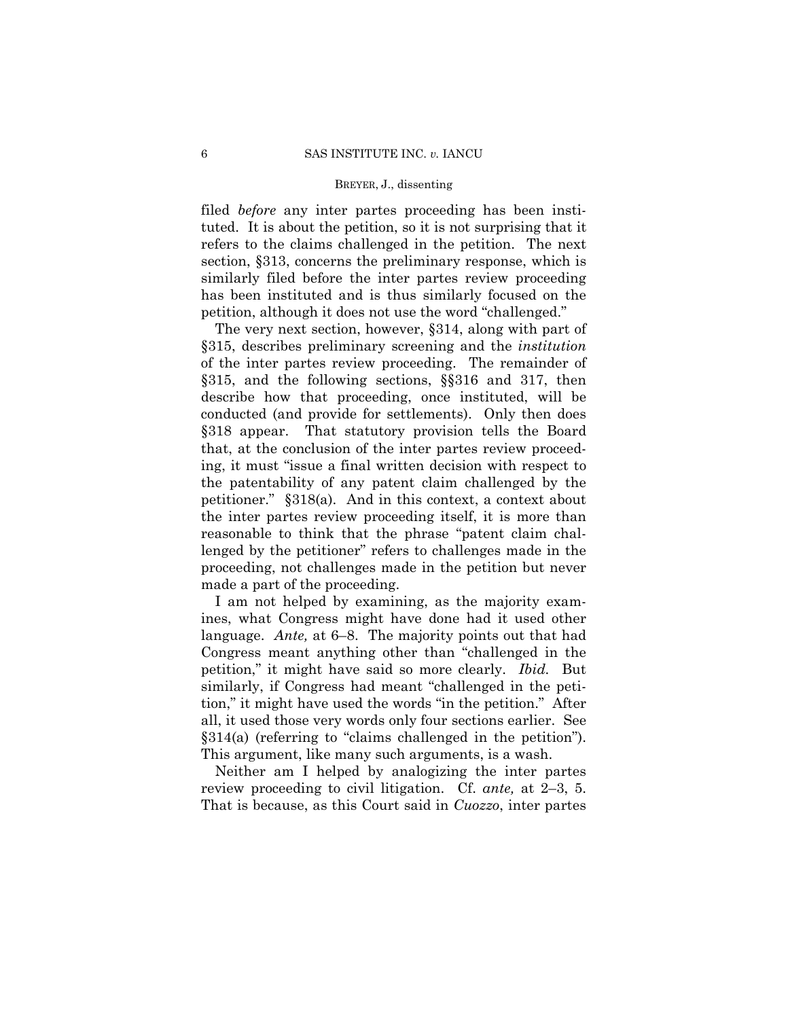tuted. It is about the petition, so it is not surprising that it filed *before* any inter partes proceeding has been instirefers to the claims challenged in the petition. The next section, §313, concerns the preliminary response, which is similarly filed before the inter partes review proceeding has been instituted and is thus similarly focused on the petition, although it does not use the word "challenged."

The very next section, however, §314, along with part of §315, describes preliminary screening and the *institution*  of the inter partes review proceeding. The remainder of §315, and the following sections, §§316 and 317, then describe how that proceeding, once instituted, will be conducted (and provide for settlements). Only then does §318 appear. That statutory provision tells the Board that, at the conclusion of the inter partes review proceeding, it must "issue a final written decision with respect to the patentability of any patent claim challenged by the petitioner." §318(a). And in this context, a context about the inter partes review proceeding itself, it is more than reasonable to think that the phrase "patent claim challenged by the petitioner" refers to challenges made in the proceeding, not challenges made in the petition but never made a part of the proceeding.

I am not helped by examining, as the majority examines, what Congress might have done had it used other language. *Ante,* at 6–8. The majority points out that had Congress meant anything other than "challenged in the petition," it might have said so more clearly. *Ibid.* But similarly, if Congress had meant "challenged in the petition," it might have used the words "in the petition." After all, it used those very words only four sections earlier. See §314(a) (referring to "claims challenged in the petition"). This argument, like many such arguments, is a wash.

Neither am I helped by analogizing the inter partes review proceeding to civil litigation. Cf. *ante,* at 2–3, 5. That is because, as this Court said in *Cuozzo*, inter partes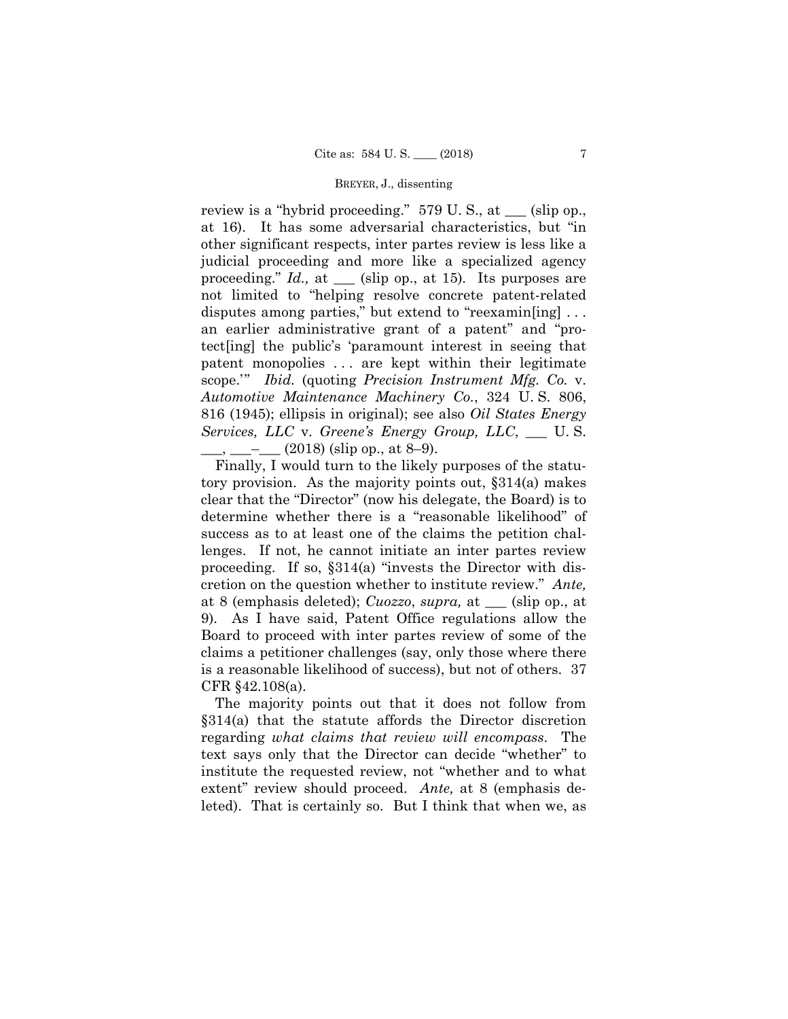review is a "hybrid proceeding." 579 U. S., at \_\_\_ (slip op., at 16). It has some adversarial characteristics, but "in other significant respects, inter partes review is less like a judicial proceeding and more like a specialized agency proceeding." *Id.,* at *\_\_\_* (slip op., at 15)*.* Its purposes are not limited to "helping resolve concrete patent-related disputes among parties," but extend to "reexamin[ing] . . . an earlier administrative grant of a patent" and "protect[ing] the public's 'paramount interest in seeing that patent monopolies . . . are kept within their legitimate scope.'" *Ibid.* (quoting *Precision Instrument Mfg. Co.* v. *Automotive Maintenance Machinery Co.*, 324 U. S. 806, 816 (1945); ellipsis in original); see also *Oil States Energy Services, LLC* v. *Greene's Energy Group, LLC*, \_\_\_ U. S.  $_{\rm g}$  \_\_\_\_\_ (2018) (slip op., at 8–9).

Finally, I would turn to the likely purposes of the statutory provision. As the majority points out, §314(a) makes clear that the "Director" (now his delegate, the Board) is to determine whether there is a "reasonable likelihood" of success as to at least one of the claims the petition challenges. If not, he cannot initiate an inter partes review proceeding. If so, §314(a) "invests the Director with discretion on the question whether to institute review." *Ante,*  at 8 (emphasis deleted); *Cuozzo*, *supra,* at \_\_\_ (slip op., at 9). As I have said, Patent Office regulations allow the Board to proceed with inter partes review of some of the claims a petitioner challenges (say, only those where there is a reasonable likelihood of success), but not of others. 37 CFR §42.108(a).

The majority points out that it does not follow from §314(a) that the statute affords the Director discretion regarding *what claims that review will encompass*. The text says only that the Director can decide "whether" to institute the requested review, not "whether and to what extent" review should proceed. *Ante,* at 8 (emphasis deleted). That is certainly so. But I think that when we, as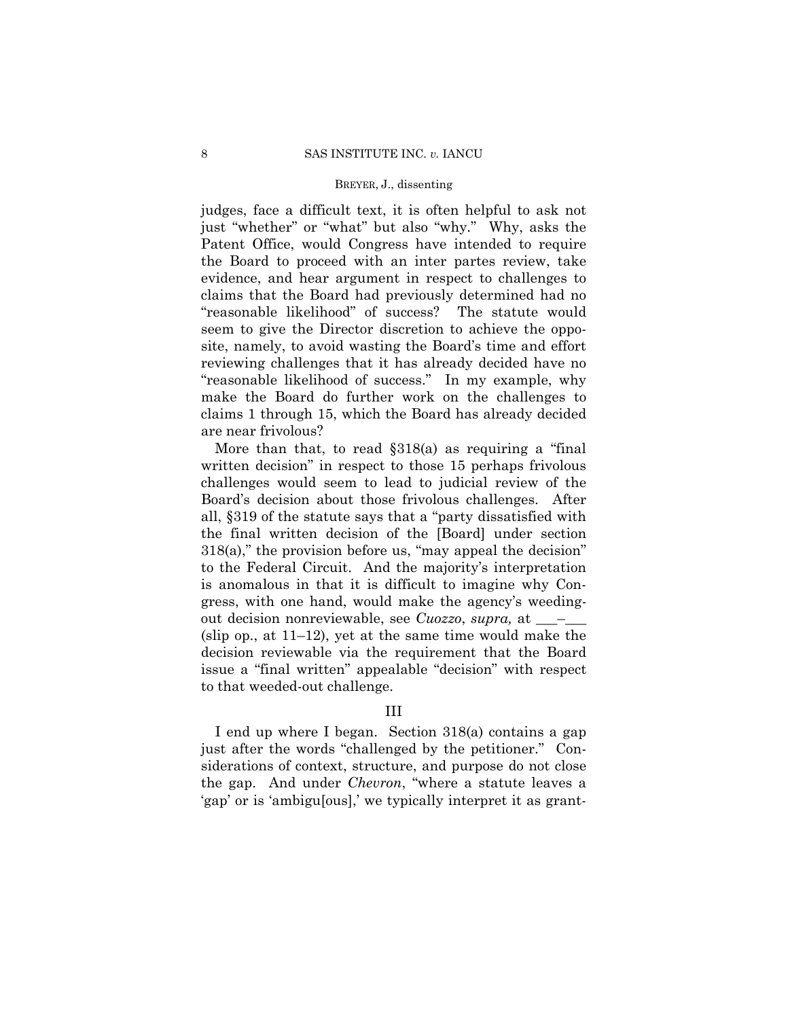judges, face a difficult text, it is often helpful to ask not just "whether" or "what" but also "why." Why, asks the Patent Office, would Congress have intended to require the Board to proceed with an inter partes review, take evidence, and hear argument in respect to challenges to claims that the Board had previously determined had no "reasonable likelihood" of success? The statute would seem to give the Director discretion to achieve the opposite, namely, to avoid wasting the Board's time and effort reviewing challenges that it has already decided have no "reasonable likelihood of success." In my example, why make the Board do further work on the challenges to claims 1 through 15, which the Board has already decided are near frivolous?

More than that, to read §318(a) as requiring a "final written decision" in respect to those 15 perhaps frivolous challenges would seem to lead to judicial review of the Board's decision about those frivolous challenges. After all, §319 of the statute says that a "party dissatisfied with the final written decision of the [Board] under section 318(a)," the provision before us, "may appeal the decision" to the Federal Circuit. And the majority's interpretation is anomalous in that it is difficult to imagine why Congress, with one hand, would make the agency's weedingout decision nonreviewable, see *Cuozzo*, *supra,* at \_\_\_–\_\_\_ (slip op., at 11–12), yet at the same time would make the decision reviewable via the requirement that the Board issue a "final written" appealable "decision" with respect to that weeded-out challenge.

## III

 the gap. And under *Chevron*, "where a statute leaves a I end up where I began. Section 318(a) contains a gap just after the words "challenged by the petitioner." Considerations of context, structure, and purpose do not close 'gap' or is 'ambigu[ous],' we typically interpret it as grant-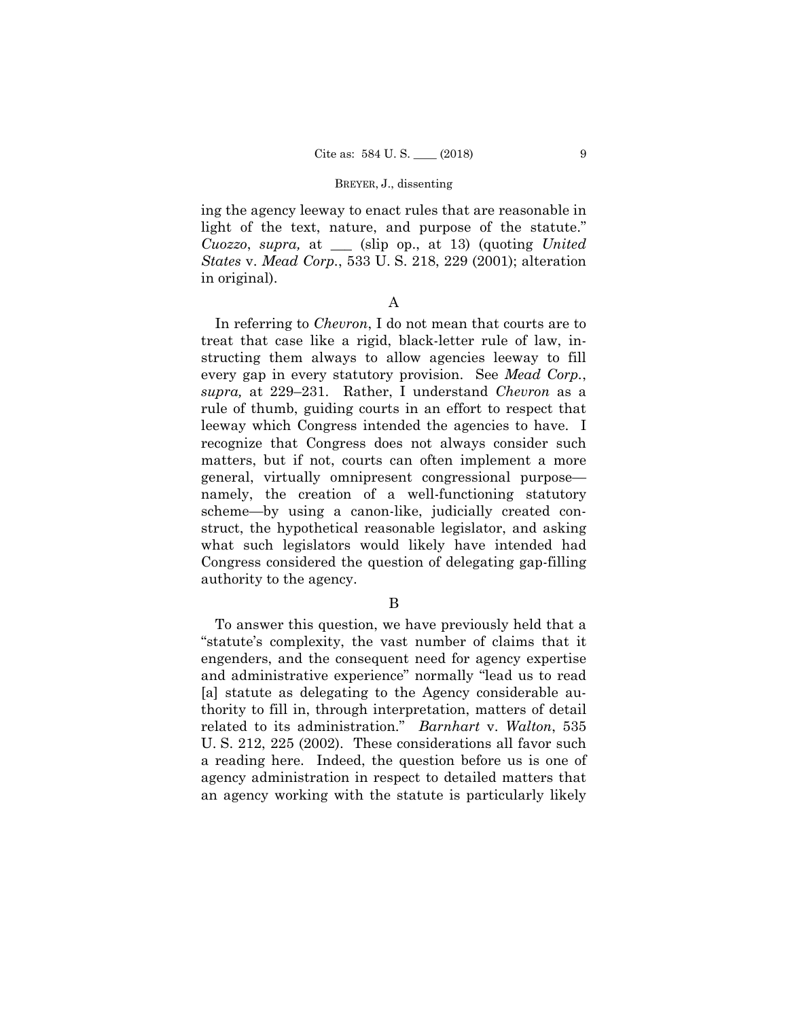ing the agency leeway to enact rules that are reasonable in light of the text, nature, and purpose of the statute." *Cuozzo*, *supra,* at \_\_\_ (slip op., at 13) (quoting *United States* v. *Mead Corp.*, 533 U. S. 218, 229 (2001); alteration in original).

## A

In referring to *Chevron*, I do not mean that courts are to treat that case like a rigid, black-letter rule of law, instructing them always to allow agencies leeway to fill every gap in every statutory provision. See *Mead Corp.*, *supra,* at 229–231. Rather, I understand *Chevron* as a rule of thumb, guiding courts in an effort to respect that leeway which Congress intended the agencies to have. I recognize that Congress does not always consider such matters, but if not, courts can often implement a more general, virtually omnipresent congressional purpose namely, the creation of a well-functioning statutory scheme—by using a canon-like, judicially created construct, the hypothetical reasonable legislator, and asking what such legislators would likely have intended had Congress considered the question of delegating gap-filling authority to the agency.

## B

To answer this question, we have previously held that a "statute's complexity, the vast number of claims that it engenders, and the consequent need for agency expertise and administrative experience" normally "lead us to read [a] statute as delegating to the Agency considerable authority to fill in, through interpretation, matters of detail related to its administration." *Barnhart* v. *Walton*, 535 U. S. 212, 225 (2002). These considerations all favor such a reading here. Indeed, the question before us is one of agency administration in respect to detailed matters that an agency working with the statute is particularly likely